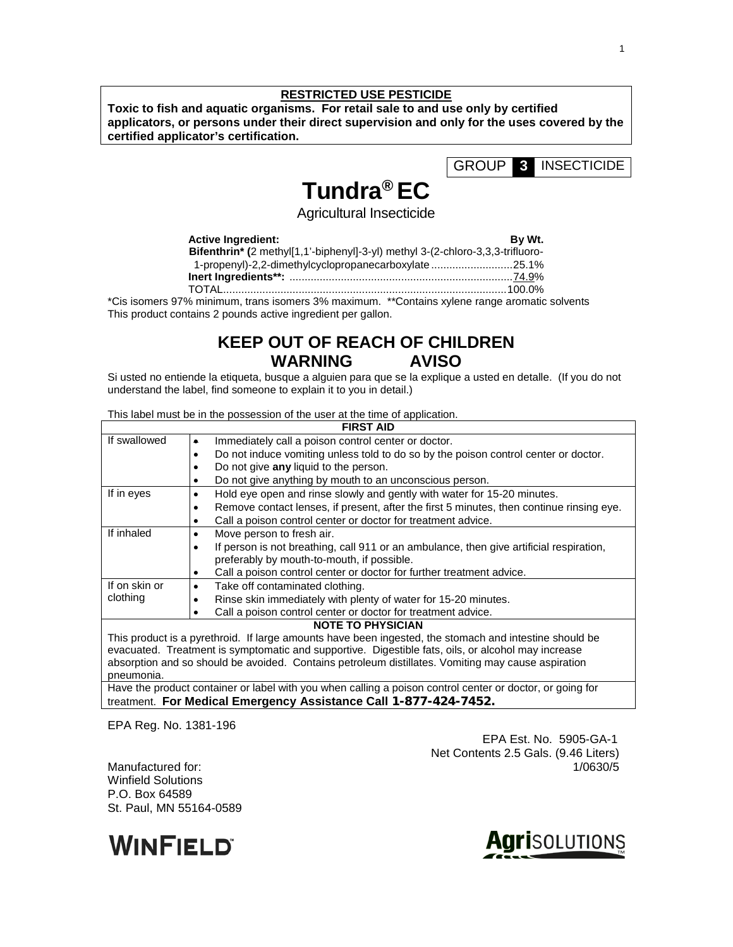### **RESTRICTED USE PESTICIDE**

**Toxic to fish and aquatic organisms. For retail sale to and use only by certified applicators, or persons under their direct supervision and only for the uses covered by the certified applicator's certification.**

GROUP **3** INSECTICIDE

# **Tundra® EC**

Agricultural Insecticide

### **Active Ingredient:** By Wt.

| Bifenthrin* (2 methyl[1,1'-biphenyl]-3-yl) methyl 3-(2-chloro-3,3,3-trifluoro-                           |  |
|----------------------------------------------------------------------------------------------------------|--|
| 1-propenyl)-2,2-dimethylcyclopropanecarboxylate25.1%                                                     |  |
|                                                                                                          |  |
|                                                                                                          |  |
| $10/$ mainime use there is small to $20/$ measurement $*$ $R$ subsidiary vulnus non-na-surgerial subsets |  |

\*Cis isomers 97% minimum, trans isomers 3% maximum. \*\*Contains xylene range aromatic solvents This product contains 2 pounds active ingredient per gallon.

## **KEEP OUT OF REACH OF CHILDREN WARNING AVISO**

Si usted no entiende la etiqueta, busque a alguien para que se la explique a usted en detalle. (If you do not understand the label, find someone to explain it to you in detail.)

This label must be in the possession of the user at the time of application.

|                                                                                                        | <b>FIRST AID</b>                                                                                          |  |  |  |  |  |
|--------------------------------------------------------------------------------------------------------|-----------------------------------------------------------------------------------------------------------|--|--|--|--|--|
| If swallowed                                                                                           | Immediately call a poison control center or doctor.<br>٠                                                  |  |  |  |  |  |
|                                                                                                        | Do not induce vomiting unless told to do so by the poison control center or doctor.<br>٠                  |  |  |  |  |  |
|                                                                                                        | Do not give any liquid to the person.<br>٠                                                                |  |  |  |  |  |
|                                                                                                        | Do not give anything by mouth to an unconscious person.<br>٠                                              |  |  |  |  |  |
| If in eyes                                                                                             | Hold eye open and rinse slowly and gently with water for 15-20 minutes.<br>٠                              |  |  |  |  |  |
|                                                                                                        | Remove contact lenses, if present, after the first 5 minutes, then continue rinsing eye.<br>٠             |  |  |  |  |  |
|                                                                                                        | Call a poison control center or doctor for treatment advice.<br>٠                                         |  |  |  |  |  |
| If inhaled                                                                                             | Move person to fresh air.<br>٠                                                                            |  |  |  |  |  |
|                                                                                                        | If person is not breathing, call 911 or an ambulance, then give artificial respiration,<br>$\bullet$      |  |  |  |  |  |
|                                                                                                        | preferably by mouth-to-mouth, if possible.                                                                |  |  |  |  |  |
|                                                                                                        | Call a poison control center or doctor for further treatment advice.<br>٠                                 |  |  |  |  |  |
| If on skin or                                                                                          | Take off contaminated clothing.<br>٠                                                                      |  |  |  |  |  |
| clothing                                                                                               | Rinse skin immediately with plenty of water for 15-20 minutes.                                            |  |  |  |  |  |
|                                                                                                        | Call a poison control center or doctor for treatment advice.<br>$\bullet$                                 |  |  |  |  |  |
| <b>NOTE TO PHYSICIAN</b>                                                                               |                                                                                                           |  |  |  |  |  |
| This product is a pyrethroid. If large amounts have been ingested, the stomach and intestine should be |                                                                                                           |  |  |  |  |  |
| evacuated. Treatment is symptomatic and supportive. Digestible fats, oils, or alcohol may increase     |                                                                                                           |  |  |  |  |  |
|                                                                                                        | absorption and so should be avoided. Contains petroleum distillates. Vomiting may cause aspiration        |  |  |  |  |  |
| pneumonia.                                                                                             |                                                                                                           |  |  |  |  |  |
|                                                                                                        | Have the product container or label with you when calling a poison control center or doctor, or going for |  |  |  |  |  |

treatment. **For Medical Emergency Assistance Call 1-877-424-7452.**

EPA Reg. No. 1381-196

Manufactured for: 1/0630/5 Winfield Solutions P.O. Box 64589 St. Paul, MN 55164-0589





EPA Est. No. 5905-GA-1

Net Contents 2.5 Gals. (9.46 Liters)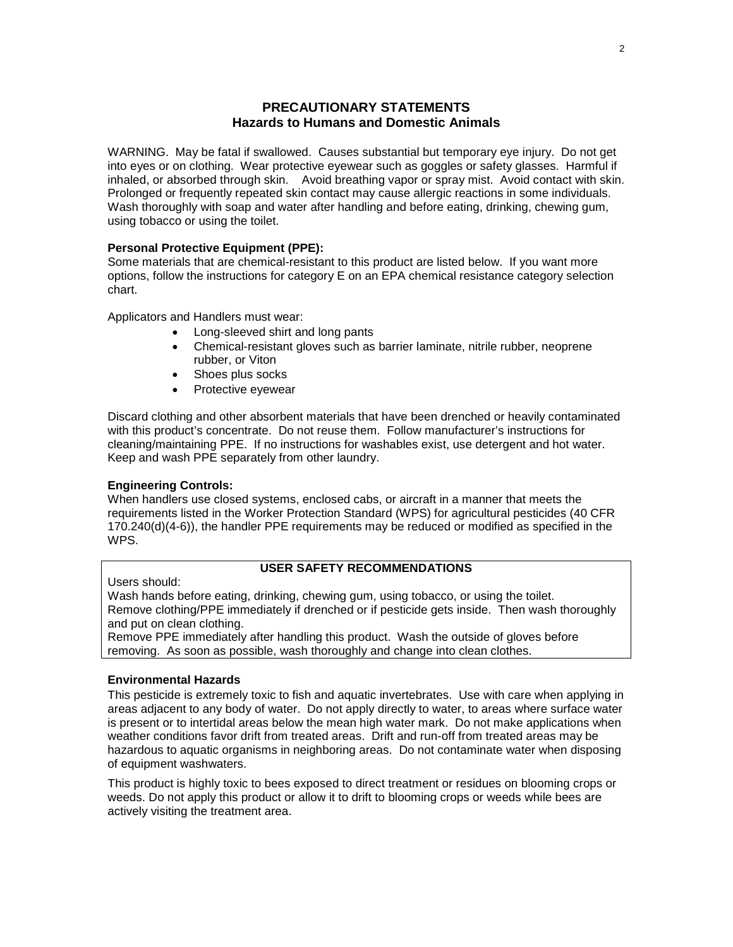### **PRECAUTIONARY STATEMENTS Hazards to Humans and Domestic Animals**

WARNING. May be fatal if swallowed. Causes substantial but temporary eye injury. Do not get into eyes or on clothing. Wear protective eyewear such as goggles or safety glasses. Harmful if inhaled, or absorbed through skin. Avoid breathing vapor or spray mist. Avoid contact with skin. Prolonged or frequently repeated skin contact may cause allergic reactions in some individuals. Wash thoroughly with soap and water after handling and before eating, drinking, chewing gum, using tobacco or using the toilet.

### **Personal Protective Equipment (PPE):**

Some materials that are chemical-resistant to this product are listed below. If you want more options, follow the instructions for category E on an EPA chemical resistance category selection chart.

Applicators and Handlers must wear:

- Long-sleeved shirt and long pants
- Chemical-resistant gloves such as barrier laminate, nitrile rubber, neoprene rubber, or Viton
- Shoes plus socks
- Protective eyewear

Discard clothing and other absorbent materials that have been drenched or heavily contaminated with this product's concentrate. Do not reuse them. Follow manufacturer's instructions for cleaning/maintaining PPE. If no instructions for washables exist, use detergent and hot water. Keep and wash PPE separately from other laundry.

### **Engineering Controls:**

When handlers use closed systems, enclosed cabs, or aircraft in a manner that meets the requirements listed in the Worker Protection Standard (WPS) for agricultural pesticides (40 CFR 170.240(d)(4-6)), the handler PPE requirements may be reduced or modified as specified in the WPS.

### **USER SAFETY RECOMMENDATIONS**

Users should:

Wash hands before eating, drinking, chewing gum, using tobacco, or using the toilet. Remove clothing/PPE immediately if drenched or if pesticide gets inside. Then wash thoroughly and put on clean clothing.

Remove PPE immediately after handling this product. Wash the outside of gloves before removing. As soon as possible, wash thoroughly and change into clean clothes.

### **Environmental Hazards**

This pesticide is extremely toxic to fish and aquatic invertebrates. Use with care when applying in areas adjacent to any body of water. Do not apply directly to water, to areas where surface water is present or to intertidal areas below the mean high water mark. Do not make applications when weather conditions favor drift from treated areas. Drift and run-off from treated areas may be hazardous to aquatic organisms in neighboring areas. Do not contaminate water when disposing of equipment washwaters.

This product is highly toxic to bees exposed to direct treatment or residues on blooming crops or weeds. Do not apply this product or allow it to drift to blooming crops or weeds while bees are actively visiting the treatment area.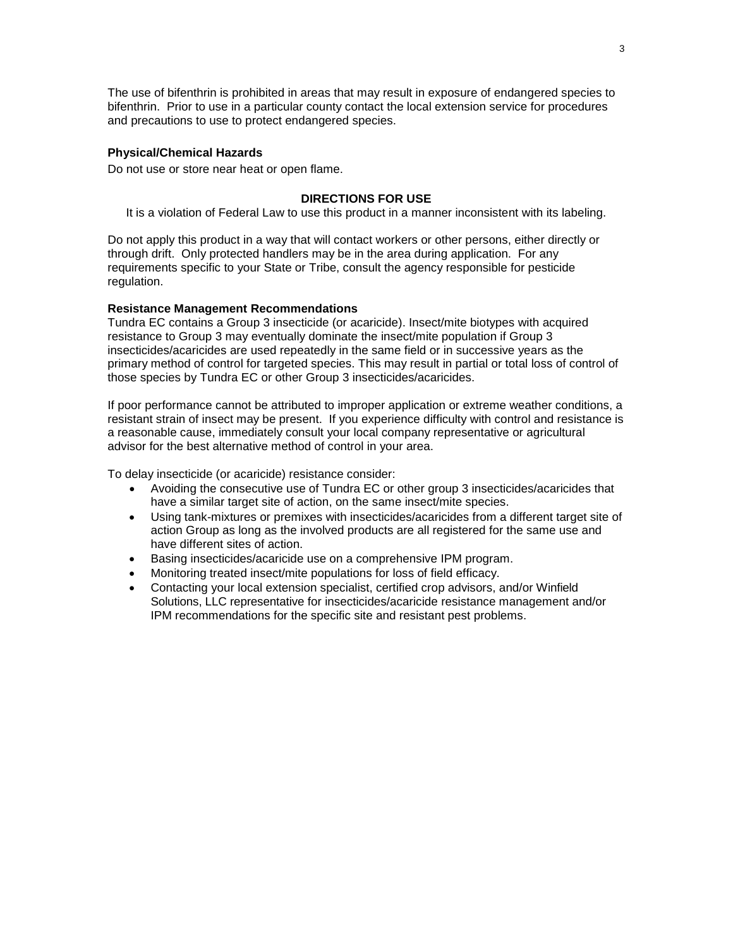The use of bifenthrin is prohibited in areas that may result in exposure of endangered species to bifenthrin. Prior to use in a particular county contact the local extension service for procedures and precautions to use to protect endangered species.

### **Physical/Chemical Hazards**

Do not use or store near heat or open flame.

### **DIRECTIONS FOR USE**

It is a violation of Federal Law to use this product in a manner inconsistent with its labeling.

Do not apply this product in a way that will contact workers or other persons, either directly or through drift. Only protected handlers may be in the area during application. For any requirements specific to your State or Tribe, consult the agency responsible for pesticide regulation.

### **Resistance Management Recommendations**

Tundra EC contains a Group 3 insecticide (or acaricide). Insect/mite biotypes with acquired resistance to Group 3 may eventually dominate the insect/mite population if Group 3 insecticides/acaricides are used repeatedly in the same field or in successive years as the primary method of control for targeted species. This may result in partial or total loss of control of those species by Tundra EC or other Group 3 insecticides/acaricides.

If poor performance cannot be attributed to improper application or extreme weather conditions, a resistant strain of insect may be present. If you experience difficulty with control and resistance is a reasonable cause, immediately consult your local company representative or agricultural advisor for the best alternative method of control in your area.

To delay insecticide (or acaricide) resistance consider:

- Avoiding the consecutive use of Tundra EC or other group 3 insecticides/acaricides that have a similar target site of action, on the same insect/mite species.
- Using tank-mixtures or premixes with insecticides/acaricides from a different target site of action Group as long as the involved products are all registered for the same use and have different sites of action.
- Basing insecticides/acaricide use on a comprehensive IPM program.
- Monitoring treated insect/mite populations for loss of field efficacy.
- Contacting your local extension specialist, certified crop advisors, and/or Winfield Solutions, LLC representative for insecticides/acaricide resistance management and/or IPM recommendations for the specific site and resistant pest problems.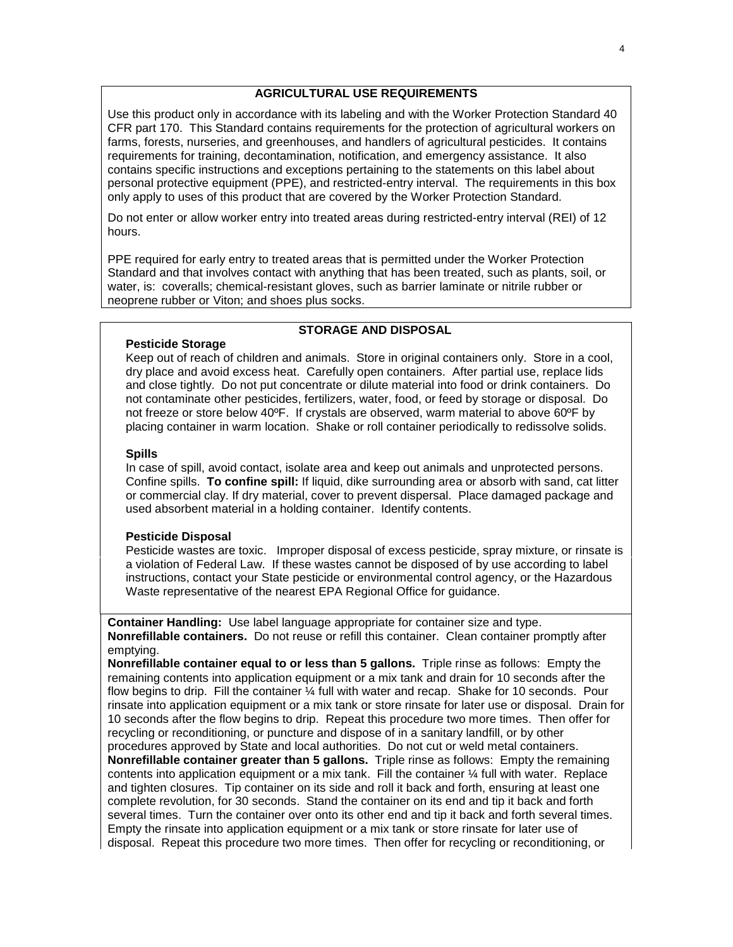### **AGRICULTURAL USE REQUIREMENTS**

Use this product only in accordance with its labeling and with the Worker Protection Standard 40 CFR part 170. This Standard contains requirements for the protection of agricultural workers on farms, forests, nurseries, and greenhouses, and handlers of agricultural pesticides. It contains requirements for training, decontamination, notification, and emergency assistance. It also contains specific instructions and exceptions pertaining to the statements on this label about personal protective equipment (PPE), and restricted-entry interval. The requirements in this box only apply to uses of this product that are covered by the Worker Protection Standard.

Do not enter or allow worker entry into treated areas during restricted-entry interval (REI) of 12 hours.

PPE required for early entry to treated areas that is permitted under the Worker Protection Standard and that involves contact with anything that has been treated, such as plants, soil, or water, is: coveralls; chemical-resistant gloves, such as barrier laminate or nitrile rubber or neoprene rubber or Viton; and shoes plus socks.

### **STORAGE AND DISPOSAL**

### **Pesticide Storage**

Keep out of reach of children and animals. Store in original containers only. Store in a cool, dry place and avoid excess heat. Carefully open containers. After partial use, replace lids and close tightly. Do not put concentrate or dilute material into food or drink containers. Do not contaminate other pesticides, fertilizers, water, food, or feed by storage or disposal. Do not freeze or store below 40ºF. If crystals are observed, warm material to above 60ºF by placing container in warm location. Shake or roll container periodically to redissolve solids.

#### **Spills**

In case of spill, avoid contact, isolate area and keep out animals and unprotected persons. Confine spills. **To confine spill:** If liquid, dike surrounding area or absorb with sand, cat litter or commercial clay. If dry material, cover to prevent dispersal. Place damaged package and used absorbent material in a holding container. Identify contents.

### **Pesticide Disposal**

Pesticide wastes are toxic. Improper disposal of excess pesticide, spray mixture, or rinsate is a violation of Federal Law. If these wastes cannot be disposed of by use according to label instructions, contact your State pesticide or environmental control agency, or the Hazardous Waste representative of the nearest EPA Regional Office for guidance.

**Container Handling:** Use label language appropriate for container size and type. **Nonrefillable containers.** Do not reuse or refill this container. Clean container promptly after emptying.

**Nonrefillable container equal to or less than 5 gallons.** Triple rinse as follows: Empty the remaining contents into application equipment or a mix tank and drain for 10 seconds after the flow begins to drip. Fill the container ¼ full with water and recap. Shake for 10 seconds. Pour rinsate into application equipment or a mix tank or store rinsate for later use or disposal. Drain for 10 seconds after the flow begins to drip. Repeat this procedure two more times. Then offer for recycling or reconditioning, or puncture and dispose of in a sanitary landfill, or by other procedures approved by State and local authorities. Do not cut or weld metal containers. **Nonrefillable container greater than 5 gallons.** Triple rinse as follows: Empty the remaining contents into application equipment or a mix tank. Fill the container  $\mathcal{V}_4$  full with water. Replace and tighten closures. Tip container on its side and roll it back and forth, ensuring at least one complete revolution, for 30 seconds. Stand the container on its end and tip it back and forth several times. Turn the container over onto its other end and tip it back and forth several times. Empty the rinsate into application equipment or a mix tank or store rinsate for later use of disposal. Repeat this procedure two more times. Then offer for recycling or reconditioning, or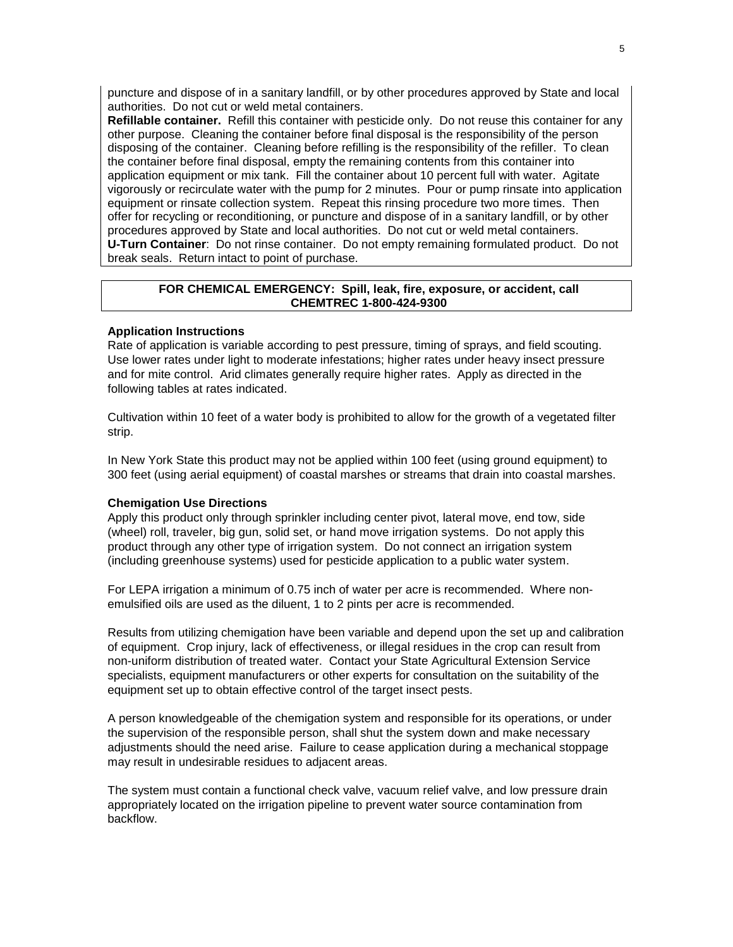puncture and dispose of in a sanitary landfill, or by other procedures approved by State and local authorities. Do not cut or weld metal containers.

**Refillable container.** Refill this container with pesticide only. Do not reuse this container for any other purpose. Cleaning the container before final disposal is the responsibility of the person disposing of the container. Cleaning before refilling is the responsibility of the refiller. To clean the container before final disposal, empty the remaining contents from this container into application equipment or mix tank. Fill the container about 10 percent full with water. Agitate vigorously or recirculate water with the pump for 2 minutes. Pour or pump rinsate into application equipment or rinsate collection system. Repeat this rinsing procedure two more times. Then offer for recycling or reconditioning, or puncture and dispose of in a sanitary landfill, or by other procedures approved by State and local authorities. Do not cut or weld metal containers. **U-Turn Container**: Do not rinse container. Do not empty remaining formulated product. Do not break seals. Return intact to point of purchase.

### **FOR CHEMICAL EMERGENCY: Spill, leak, fire, exposure, or accident, call CHEMTREC 1-800-424-9300**

#### **Application Instructions**

Rate of application is variable according to pest pressure, timing of sprays, and field scouting. Use lower rates under light to moderate infestations; higher rates under heavy insect pressure and for mite control. Arid climates generally require higher rates. Apply as directed in the following tables at rates indicated.

Cultivation within 10 feet of a water body is prohibited to allow for the growth of a vegetated filter strip.

In New York State this product may not be applied within 100 feet (using ground equipment) to 300 feet (using aerial equipment) of coastal marshes or streams that drain into coastal marshes.

#### **Chemigation Use Directions**

Apply this product only through sprinkler including center pivot, lateral move, end tow, side (wheel) roll, traveler, big gun, solid set, or hand move irrigation systems. Do not apply this product through any other type of irrigation system. Do not connect an irrigation system (including greenhouse systems) used for pesticide application to a public water system.

For LEPA irrigation a minimum of 0.75 inch of water per acre is recommended. Where nonemulsified oils are used as the diluent, 1 to 2 pints per acre is recommended.

Results from utilizing chemigation have been variable and depend upon the set up and calibration of equipment. Crop injury, lack of effectiveness, or illegal residues in the crop can result from non-uniform distribution of treated water. Contact your State Agricultural Extension Service specialists, equipment manufacturers or other experts for consultation on the suitability of the equipment set up to obtain effective control of the target insect pests.

A person knowledgeable of the chemigation system and responsible for its operations, or under the supervision of the responsible person, shall shut the system down and make necessary adjustments should the need arise. Failure to cease application during a mechanical stoppage may result in undesirable residues to adjacent areas.

The system must contain a functional check valve, vacuum relief valve, and low pressure drain appropriately located on the irrigation pipeline to prevent water source contamination from backflow.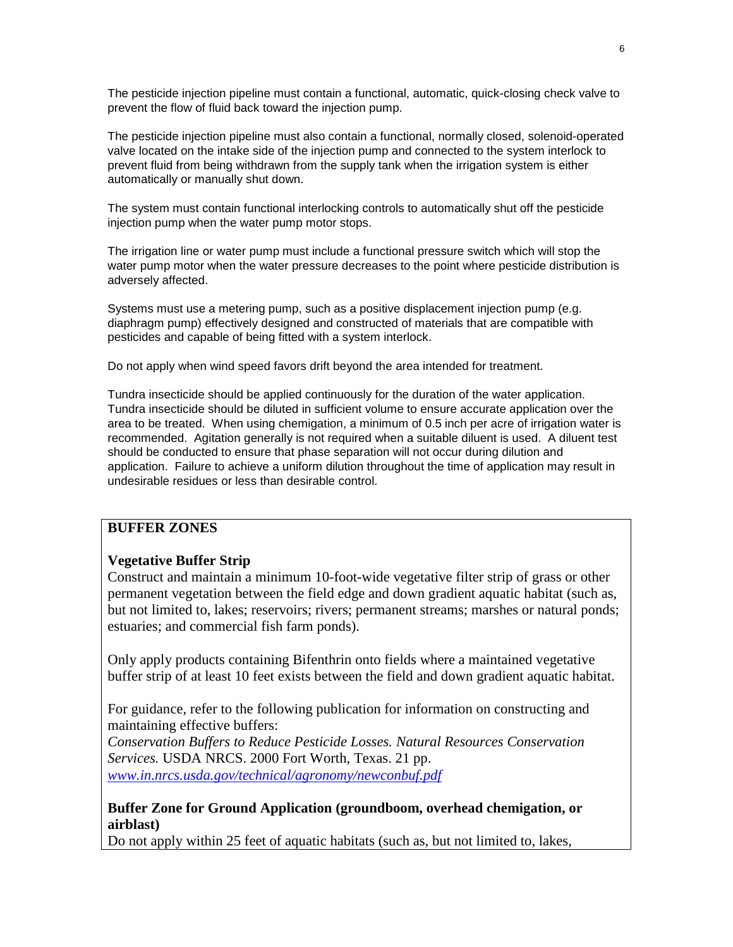The pesticide injection pipeline must contain a functional, automatic, quick-closing check valve to prevent the flow of fluid back toward the injection pump.

The pesticide injection pipeline must also contain a functional, normally closed, solenoid-operated valve located on the intake side of the injection pump and connected to the system interlock to prevent fluid from being withdrawn from the supply tank when the irrigation system is either automatically or manually shut down.

The system must contain functional interlocking controls to automatically shut off the pesticide injection pump when the water pump motor stops.

The irrigation line or water pump must include a functional pressure switch which will stop the water pump motor when the water pressure decreases to the point where pesticide distribution is adversely affected.

Systems must use a metering pump, such as a positive displacement injection pump (e.g. diaphragm pump) effectively designed and constructed of materials that are compatible with pesticides and capable of being fitted with a system interlock.

Do not apply when wind speed favors drift beyond the area intended for treatment.

Tundra insecticide should be applied continuously for the duration of the water application. Tundra insecticide should be diluted in sufficient volume to ensure accurate application over the area to be treated. When using chemigation, a minimum of 0.5 inch per acre of irrigation water is recommended. Agitation generally is not required when a suitable diluent is used. A diluent test should be conducted to ensure that phase separation will not occur during dilution and application. Failure to achieve a uniform dilution throughout the time of application may result in undesirable residues or less than desirable control.

### **BUFFER ZONES**

### **Vegetative Buffer Strip**

Construct and maintain a minimum 10-foot-wide vegetative filter strip of grass or other permanent vegetation between the field edge and down gradient aquatic habitat (such as, but not limited to, lakes; reservoirs; rivers; permanent streams; marshes or natural ponds; estuaries; and commercial fish farm ponds).

Only apply products containing Bifenthrin onto fields where a maintained vegetative buffer strip of at least 10 feet exists between the field and down gradient aquatic habitat.

For guidance, refer to the following publication for information on constructing and maintaining effective buffers:

*Conservation Buffers to Reduce Pesticide Losses. Natural Resources Conservation Services.* USDA NRCS. 2000 Fort Worth, Texas. 21 pp. *[www.in.nrcs.usda.gov/technical/agronomy/newconbuf.pdf](http://www.in.nrcs.usda.gov/technical/agronomy/newconbuf.pdf)*

### **Buffer Zone for Ground Application (groundboom, overhead chemigation, or airblast)**

Do not apply within 25 feet of aquatic habitats (such as, but not limited to, lakes,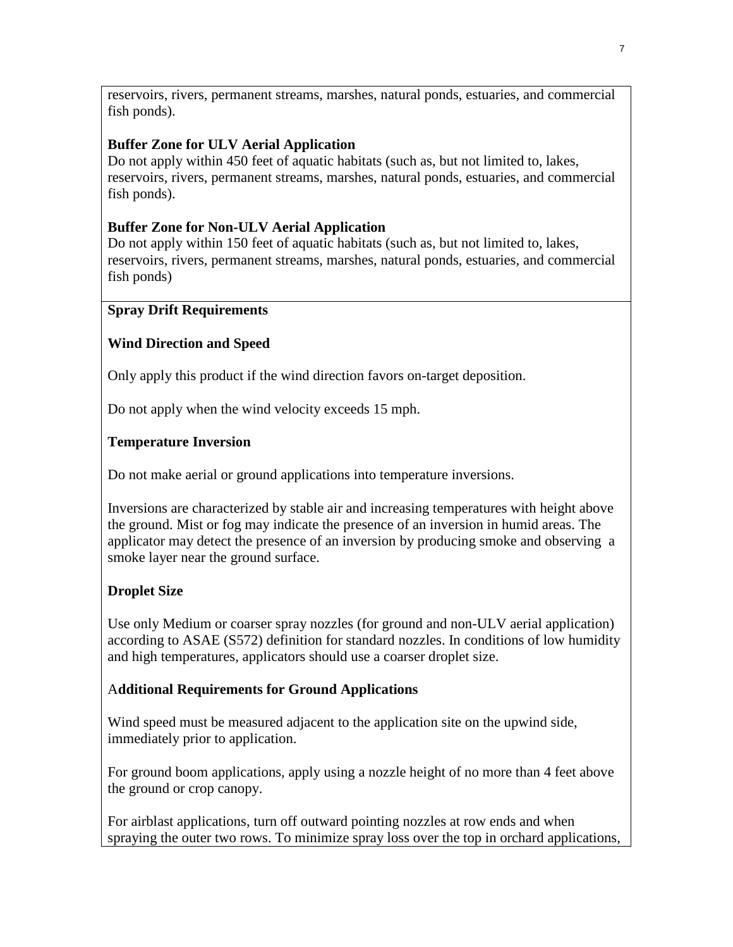reservoirs, rivers, permanent streams, marshes, natural ponds, estuaries, and commercial fish ponds).

### **Buffer Zone for ULV Aerial Application**

Do not apply within 450 feet of aquatic habitats (such as, but not limited to, lakes, reservoirs, rivers, permanent streams, marshes, natural ponds, estuaries, and commercial fish ponds).

### **Buffer Zone for Non-ULV Aerial Application**

Do not apply within 150 feet of aquatic habitats (such as, but not limited to, lakes, reservoirs, rivers, permanent streams, marshes, natural ponds, estuaries, and commercial fish ponds)

### **Spray Drift Requirements**

### **Wind Direction and Speed**

Only apply this product if the wind direction favors on-target deposition.

Do not apply when the wind velocity exceeds 15 mph.

### **Temperature Inversion**

Do not make aerial or ground applications into temperature inversions.

Inversions are characterized by stable air and increasing temperatures with height above the ground. Mist or fog may indicate the presence of an inversion in humid areas. The applicator may detect the presence of an inversion by producing smoke and observing a smoke layer near the ground surface.

### **Droplet Size**

Use only Medium or coarser spray nozzles (for ground and non-ULV aerial application) according to ASAE (S572) definition for standard nozzles. In conditions of low humidity and high temperatures, applicators should use a coarser droplet size.

### A**dditional Requirements for Ground Applications**

Wind speed must be measured adjacent to the application site on the upwind side, immediately prior to application.

For ground boom applications, apply using a nozzle height of no more than 4 feet above the ground or crop canopy.

For airblast applications, turn off outward pointing nozzles at row ends and when spraying the outer two rows. To minimize spray loss over the top in orchard applications,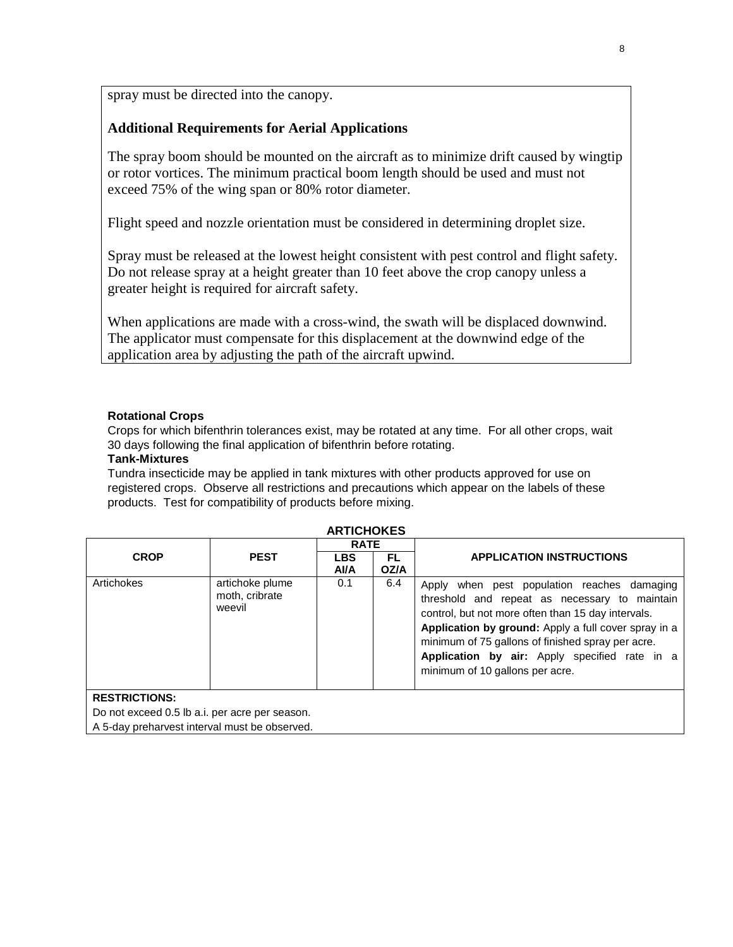spray must be directed into the canopy.

### **Additional Requirements for Aerial Applications**

The spray boom should be mounted on the aircraft as to minimize drift caused by wingtip or rotor vortices. The minimum practical boom length should be used and must not exceed 75% of the wing span or 80% rotor diameter.

Flight speed and nozzle orientation must be considered in determining droplet size.

Spray must be released at the lowest height consistent with pest control and flight safety. Do not release spray at a height greater than 10 feet above the crop canopy unless a greater height is required for aircraft safety.

When applications are made with a cross-wind, the swath will be displaced downwind. The applicator must compensate for this displacement at the downwind edge of the application area by adjusting the path of the aircraft upwind.

### **Rotational Crops**

Crops for which bifenthrin tolerances exist, may be rotated at any time. For all other crops, wait 30 days following the final application of bifenthrin before rotating.

### **Tank-Mixtures**

Tundra insecticide may be applied in tank mixtures with other products approved for use on registered crops. Observe all restrictions and precautions which appear on the labels of these products. Test for compatibility of products before mixing.

| AN HUHUNLJ    |                                             |                   |             |                                                                                                                                                                                                                                                                                                                                                     |  |
|---------------|---------------------------------------------|-------------------|-------------|-----------------------------------------------------------------------------------------------------------------------------------------------------------------------------------------------------------------------------------------------------------------------------------------------------------------------------------------------------|--|
|               |                                             | <b>RATE</b>       |             |                                                                                                                                                                                                                                                                                                                                                     |  |
| <b>CROP</b>   | <b>PEST</b>                                 | <b>LBS</b><br>AVA | FL.<br>OZ/A | <b>APPLICATION INSTRUCTIONS</b>                                                                                                                                                                                                                                                                                                                     |  |
| Artichokes    | artichoke plume<br>moth, cribrate<br>weevil | 0.1               | 6.4         | Apply when pest population reaches damaging<br>threshold and repeat as necessary to maintain<br>control, but not more often than 15 day intervals.<br>Application by ground: Apply a full cover spray in a<br>minimum of 75 gallons of finished spray per acre.<br>Application by air: Apply specified rate in a<br>minimum of 10 gallons per acre. |  |
| RESTRICTIONS. |                                             |                   |             |                                                                                                                                                                                                                                                                                                                                                     |  |

### **ARTICHOKES**

**RESTRICTIONS:**

Do not exceed 0.5 lb a.i. per acre per season.

A 5-day preharvest interval must be observed.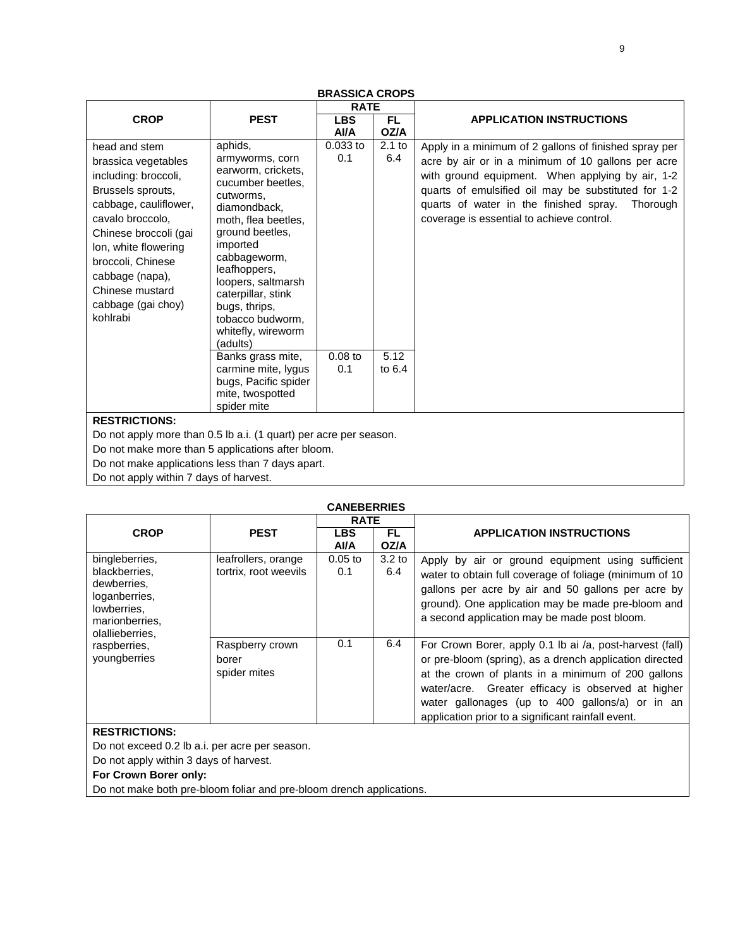|                                                                                                                                                                                                                                                                              |                                                                                                                                                                                                                                                                                                                                                                                                                    | <b>RATE</b>                         |                                     |                                                                                                                                                                                                                                                                                                                           |  |  |
|------------------------------------------------------------------------------------------------------------------------------------------------------------------------------------------------------------------------------------------------------------------------------|--------------------------------------------------------------------------------------------------------------------------------------------------------------------------------------------------------------------------------------------------------------------------------------------------------------------------------------------------------------------------------------------------------------------|-------------------------------------|-------------------------------------|---------------------------------------------------------------------------------------------------------------------------------------------------------------------------------------------------------------------------------------------------------------------------------------------------------------------------|--|--|
|                                                                                                                                                                                                                                                                              |                                                                                                                                                                                                                                                                                                                                                                                                                    |                                     |                                     |                                                                                                                                                                                                                                                                                                                           |  |  |
| <b>CROP</b>                                                                                                                                                                                                                                                                  | <b>PEST</b>                                                                                                                                                                                                                                                                                                                                                                                                        | <b>LBS</b><br>AVA                   | <b>FL</b><br>OZ/A                   | <b>APPLICATION INSTRUCTIONS</b>                                                                                                                                                                                                                                                                                           |  |  |
| head and stem<br>brassica vegetables<br>including: broccoli,<br>Brussels sprouts,<br>cabbage, cauliflower,<br>cavalo broccolo.<br>Chinese broccoli (gai<br>lon, white flowering<br>broccoli, Chinese<br>cabbage (napa),<br>Chinese mustard<br>cabbage (gai choy)<br>kohlrabi | aphids,<br>armyworms, corn<br>earworm, crickets,<br>cucumber beetles,<br>cutworms,<br>diamondback.<br>moth, flea beetles,<br>ground beetles,<br>imported<br>cabbageworm,<br>leafhoppers,<br>loopers, saltmarsh<br>caterpillar, stink<br>bugs, thrips,<br>tobacco budworm,<br>whitefly, wireworm<br>(adults)<br>Banks grass mite,<br>carmine mite, lygus<br>bugs, Pacific spider<br>mite, twospotted<br>spider mite | 0.033 to<br>0.1<br>$0.08$ to<br>0.1 | $2.1$ to<br>6.4<br>5.12<br>to $6.4$ | Apply in a minimum of 2 gallons of finished spray per<br>acre by air or in a minimum of 10 gallons per acre<br>with ground equipment. When applying by air, 1-2<br>quarts of emulsified oil may be substituted for 1-2<br>quarts of water in the finished spray.<br>Thorough<br>coverage is essential to achieve control. |  |  |
| <b>RESTRICTIONS:</b>                                                                                                                                                                                                                                                         |                                                                                                                                                                                                                                                                                                                                                                                                                    |                                     |                                     |                                                                                                                                                                                                                                                                                                                           |  |  |
| Do not apply more than 0.5 lb a.i. (1 quart) per acre per season.                                                                                                                                                                                                            |                                                                                                                                                                                                                                                                                                                                                                                                                    |                                     |                                     |                                                                                                                                                                                                                                                                                                                           |  |  |
| Do not make more than 5 applications after bloom.                                                                                                                                                                                                                            |                                                                                                                                                                                                                                                                                                                                                                                                                    |                                     |                                     |                                                                                                                                                                                                                                                                                                                           |  |  |
| Do not make applications less than 7 days apart.                                                                                                                                                                                                                             |                                                                                                                                                                                                                                                                                                                                                                                                                    |                                     |                                     |                                                                                                                                                                                                                                                                                                                           |  |  |

### **BRASSICA CROPS**

Do not apply within 7 days of harvest.

| <b>CANEBERRIES</b>                                                                                                  |                                              |                   |                          |                                                                                                                                                                                                                                                                                                                                          |  |  |
|---------------------------------------------------------------------------------------------------------------------|----------------------------------------------|-------------------|--------------------------|------------------------------------------------------------------------------------------------------------------------------------------------------------------------------------------------------------------------------------------------------------------------------------------------------------------------------------------|--|--|
|                                                                                                                     |                                              | <b>RATE</b>       |                          |                                                                                                                                                                                                                                                                                                                                          |  |  |
| <b>CROP</b>                                                                                                         | <b>PEST</b>                                  | <b>LBS</b><br>AVA | FL.<br>OZ/A              | <b>APPLICATION INSTRUCTIONS</b>                                                                                                                                                                                                                                                                                                          |  |  |
| bingleberries.<br>blackberries,<br>dewberries.<br>loganberries,<br>lowberries.<br>marionberries.<br>olallieberries, | leafrollers, orange<br>tortrix, root weevils | $0.05$ to<br>0.1  | 3.2 <sub>to</sub><br>6.4 | Apply by air or ground equipment using sufficient<br>water to obtain full coverage of foliage (minimum of 10<br>gallons per acre by air and 50 gallons per acre by<br>ground). One application may be made pre-bloom and<br>a second application may be made post bloom.                                                                 |  |  |
| raspberries,<br>youngberries                                                                                        | Raspberry crown<br>borer<br>spider mites     | 0.1               | 6.4                      | For Crown Borer, apply 0.1 lb ai /a, post-harvest (fall)<br>or pre-bloom (spring), as a drench application directed<br>at the crown of plants in a minimum of 200 gallons<br>water/acre. Greater efficacy is observed at higher<br>water gallonages (up to 400 gallons/a) or in an<br>application prior to a significant rainfall event. |  |  |
| <b>RESTRICTIONS:</b>                                                                                                |                                              |                   |                          |                                                                                                                                                                                                                                                                                                                                          |  |  |

Do not exceed 0.2 lb a.i. per acre per season.

Do not apply within 3 days of harvest.

**For Crown Borer only:**

Do not make both pre-bloom foliar and pre-bloom drench applications.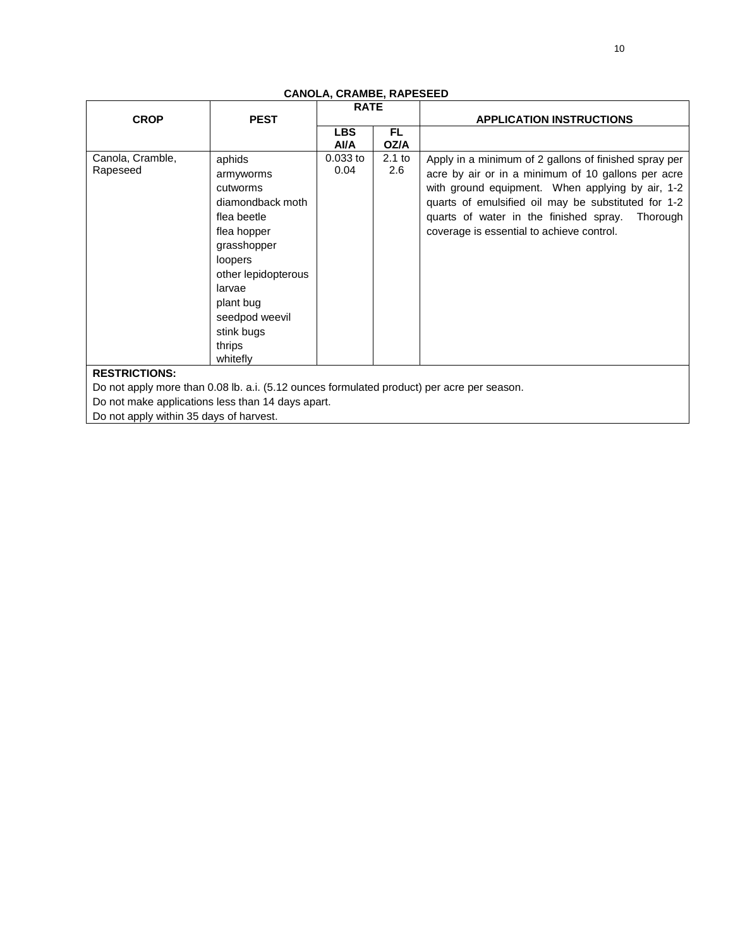|                                                                                            |                                                                                                                                                                                                                 | <b>RATE</b>              |                 |                                                                                                                                                                                                                                                                                                                           |
|--------------------------------------------------------------------------------------------|-----------------------------------------------------------------------------------------------------------------------------------------------------------------------------------------------------------------|--------------------------|-----------------|---------------------------------------------------------------------------------------------------------------------------------------------------------------------------------------------------------------------------------------------------------------------------------------------------------------------------|
| <b>CROP</b>                                                                                | <b>PEST</b>                                                                                                                                                                                                     |                          |                 | <b>APPLICATION INSTRUCTIONS</b>                                                                                                                                                                                                                                                                                           |
|                                                                                            |                                                                                                                                                                                                                 | <b>LBS</b><br><b>AVA</b> | FL.<br>OZ/A     |                                                                                                                                                                                                                                                                                                                           |
| Canola, Cramble,<br>Rapeseed                                                               | aphids<br>armyworms<br>cutworms<br>diamondback moth<br>flea beetle<br>flea hopper<br>grasshopper<br>loopers<br>other lepidopterous<br>larvae<br>plant bug<br>seedpod weevil<br>stink bugs<br>thrips<br>whitefly | $0.033$ to<br>0.04       | $2.1$ to<br>2.6 | Apply in a minimum of 2 gallons of finished spray per<br>acre by air or in a minimum of 10 gallons per acre<br>with ground equipment. When applying by air, 1-2<br>quarts of emulsified oil may be substituted for 1-2<br>quarts of water in the finished spray.<br>Thorough<br>coverage is essential to achieve control. |
| <b>RESTRICTIONS:</b>                                                                       |                                                                                                                                                                                                                 |                          |                 |                                                                                                                                                                                                                                                                                                                           |
| Do not apply more than 0.08 lb. a.i. (5.12 ounces formulated product) per acre per season. |                                                                                                                                                                                                                 |                          |                 |                                                                                                                                                                                                                                                                                                                           |
| Do not make applications less than 14 days apart.                                          |                                                                                                                                                                                                                 |                          |                 |                                                                                                                                                                                                                                                                                                                           |
| Do not apply within 35 days of harvest.                                                    |                                                                                                                                                                                                                 |                          |                 |                                                                                                                                                                                                                                                                                                                           |

### **CANOLA, CRAMBE, RAPESEED**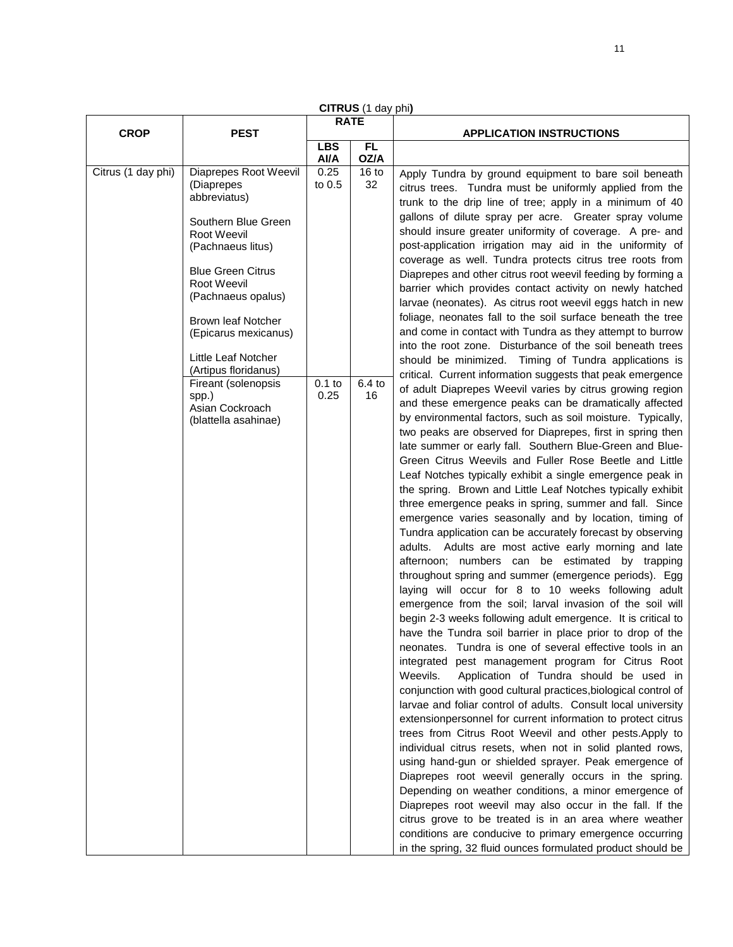| <b>CROP</b>        | <b>PEST</b>                                                                                                                                                                                                                                                                  | <b>RATE</b>        |                        | <b>APPLICATION INSTRUCTIONS</b>                                                                                                                                                                                                                                                                                                                                                                                                                                                                                                                                                                                                                                                                                                                                                                                                                                                                                                                                                                                                                                                                                                                                                                                                                                                                                                                                                                                                                                                                                                                                                                                                                                                                                                                                                                                                                                                                                                                                                                                                                                                                            |
|--------------------|------------------------------------------------------------------------------------------------------------------------------------------------------------------------------------------------------------------------------------------------------------------------------|--------------------|------------------------|------------------------------------------------------------------------------------------------------------------------------------------------------------------------------------------------------------------------------------------------------------------------------------------------------------------------------------------------------------------------------------------------------------------------------------------------------------------------------------------------------------------------------------------------------------------------------------------------------------------------------------------------------------------------------------------------------------------------------------------------------------------------------------------------------------------------------------------------------------------------------------------------------------------------------------------------------------------------------------------------------------------------------------------------------------------------------------------------------------------------------------------------------------------------------------------------------------------------------------------------------------------------------------------------------------------------------------------------------------------------------------------------------------------------------------------------------------------------------------------------------------------------------------------------------------------------------------------------------------------------------------------------------------------------------------------------------------------------------------------------------------------------------------------------------------------------------------------------------------------------------------------------------------------------------------------------------------------------------------------------------------------------------------------------------------------------------------------------------------|
|                    |                                                                                                                                                                                                                                                                              | <b>LBS</b><br>Al/A | FL.<br>OZ/A            |                                                                                                                                                                                                                                                                                                                                                                                                                                                                                                                                                                                                                                                                                                                                                                                                                                                                                                                                                                                                                                                                                                                                                                                                                                                                                                                                                                                                                                                                                                                                                                                                                                                                                                                                                                                                                                                                                                                                                                                                                                                                                                            |
| Citrus (1 day phi) | Diaprepes Root Weevil<br>(Diaprepes<br>abbreviatus)<br>Southern Blue Green<br>Root Weevil<br>(Pachnaeus litus)<br><b>Blue Green Citrus</b><br>Root Weevil<br>(Pachnaeus opalus)<br>Brown leaf Notcher<br>(Epicarus mexicanus)<br>Little Leaf Notcher<br>(Artipus floridanus) | 0.25<br>to 0.5     | 16 <sub>to</sub><br>32 | Apply Tundra by ground equipment to bare soil beneath<br>citrus trees. Tundra must be uniformly applied from the<br>trunk to the drip line of tree; apply in a minimum of 40<br>gallons of dilute spray per acre. Greater spray volume<br>should insure greater uniformity of coverage. A pre- and<br>post-application irrigation may aid in the uniformity of<br>coverage as well. Tundra protects citrus tree roots from<br>Diaprepes and other citrus root weevil feeding by forming a<br>barrier which provides contact activity on newly hatched<br>larvae (neonates). As citrus root weevil eggs hatch in new<br>foliage, neonates fall to the soil surface beneath the tree<br>and come in contact with Tundra as they attempt to burrow<br>into the root zone. Disturbance of the soil beneath trees<br>should be minimized. Timing of Tundra applications is                                                                                                                                                                                                                                                                                                                                                                                                                                                                                                                                                                                                                                                                                                                                                                                                                                                                                                                                                                                                                                                                                                                                                                                                                                      |
|                    | Fireant (solenopsis<br>spp.)<br>Asian Cockroach<br>(blattella asahinae)                                                                                                                                                                                                      | $0.1$ to<br>0.25   | $6.4$ to<br>16         | critical. Current information suggests that peak emergence<br>of adult Diaprepes Weevil varies by citrus growing region<br>and these emergence peaks can be dramatically affected<br>by environmental factors, such as soil moisture. Typically,<br>two peaks are observed for Diaprepes, first in spring then<br>late summer or early fall. Southern Blue-Green and Blue-<br>Green Citrus Weevils and Fuller Rose Beetle and Little<br>Leaf Notches typically exhibit a single emergence peak in<br>the spring. Brown and Little Leaf Notches typically exhibit<br>three emergence peaks in spring, summer and fall. Since<br>emergence varies seasonally and by location, timing of<br>Tundra application can be accurately forecast by observing<br>adults. Adults are most active early morning and late<br>afternoon; numbers can be estimated by trapping<br>throughout spring and summer (emergence periods). Egg<br>laying will occur for 8 to 10 weeks following adult<br>emergence from the soil; larval invasion of the soil will<br>begin 2-3 weeks following adult emergence. It is critical to<br>have the Tundra soil barrier in place prior to drop of the<br>neonates. Tundra is one of several effective tools in an<br>integrated pest management program for Citrus Root<br>Weevils.<br>Application of Tundra should be used in<br>conjunction with good cultural practices, biological control of<br>larvae and foliar control of adults. Consult local university<br>extensionpersonnel for current information to protect citrus<br>trees from Citrus Root Weevil and other pests. Apply to<br>individual citrus resets, when not in solid planted rows,<br>using hand-gun or shielded sprayer. Peak emergence of<br>Diaprepes root weevil generally occurs in the spring.<br>Depending on weather conditions, a minor emergence of<br>Diaprepes root weevil may also occur in the fall. If the<br>citrus grove to be treated is in an area where weather<br>conditions are conducive to primary emergence occurring<br>in the spring, 32 fluid ounces formulated product should be |

**CITRUS** (1 day phi**)**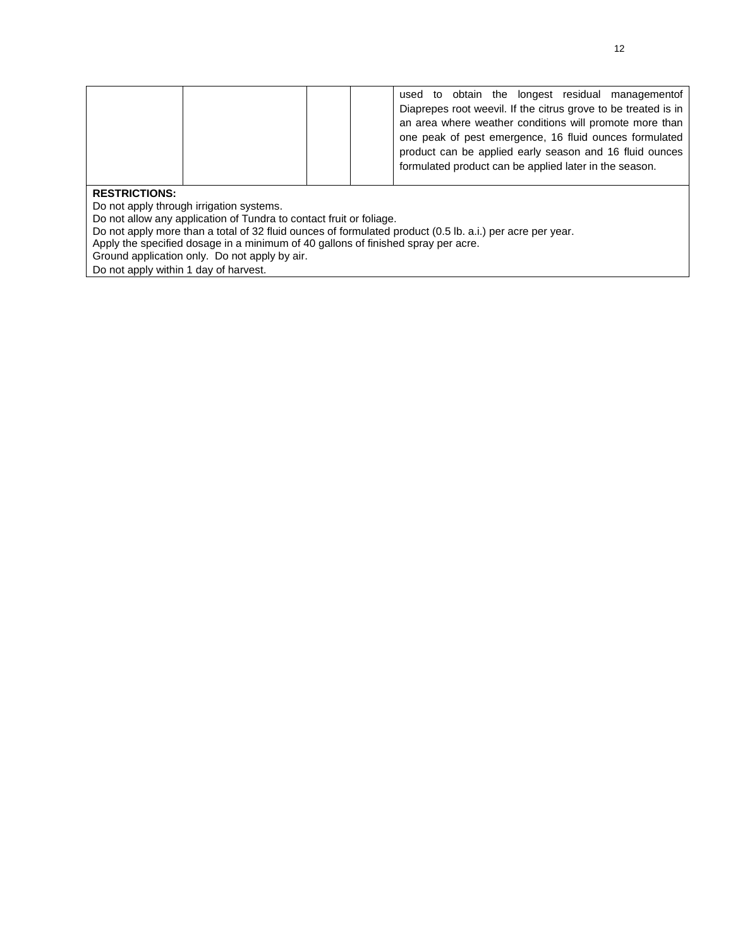|               |  | used to obtain the longest residual management of<br>Diaprepes root weevil. If the citrus grove to be treated is in<br>an area where weather conditions will promote more than<br>one peak of pest emergence, 16 fluid ounces formulated<br>product can be applied early season and 16 fluid ounces<br>formulated product can be applied later in the season. |
|---------------|--|---------------------------------------------------------------------------------------------------------------------------------------------------------------------------------------------------------------------------------------------------------------------------------------------------------------------------------------------------------------|
| DECTRICTIONS. |  |                                                                                                                                                                                                                                                                                                                                                               |

Do not apply through irrigation systems.

Do not allow any application of Tundra to contact fruit or foliage.

- Do not apply more than a total of 32 fluid ounces of formulated product (0.5 lb. a.i.) per acre per year.
- Apply the specified dosage in a minimum of 40 gallons of finished spray per acre.

Ground application only. Do not apply by air.

Do not apply within 1 day of harvest.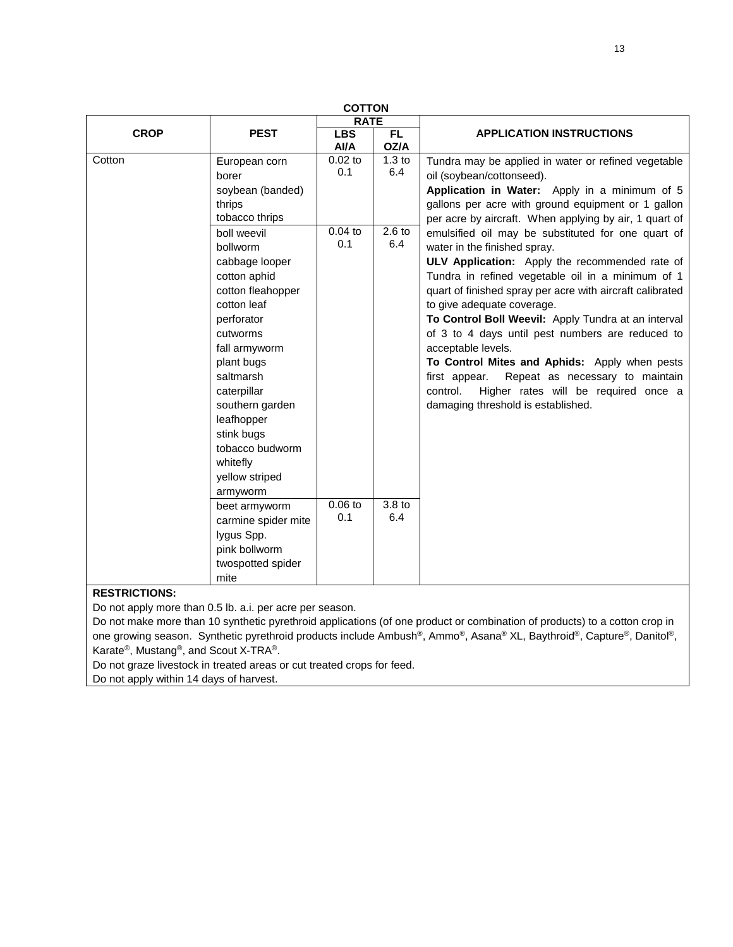| <b>COTTON</b> |                     |                    |                   |                                                           |  |
|---------------|---------------------|--------------------|-------------------|-----------------------------------------------------------|--|
|               |                     | <b>RATE</b>        |                   |                                                           |  |
| <b>CROP</b>   | <b>PEST</b>         | <b>LBS</b><br>Al/A | FL.<br>OZ/A       | <b>APPLICATION INSTRUCTIONS</b>                           |  |
| Cotton        | European corn       | $0.02$ to          | 1.3 <sub>to</sub> | Tundra may be applied in water or refined vegetable       |  |
|               | borer               | 0.1                | 6.4               | oil (soybean/cottonseed).                                 |  |
|               | soybean (banded)    |                    |                   | Application in Water: Apply in a minimum of 5             |  |
|               | thrips              |                    |                   | gallons per acre with ground equipment or 1 gallon        |  |
|               | tobacco thrips      |                    |                   | per acre by aircraft. When applying by air, 1 quart of    |  |
|               | boll weevil         | $0.04$ to          | $2.6$ to          | emulsified oil may be substituted for one quart of        |  |
|               | bollworm            | 0.1                | 6.4               | water in the finished spray.                              |  |
|               | cabbage looper      |                    |                   | ULV Application: Apply the recommended rate of            |  |
|               | cotton aphid        |                    |                   | Tundra in refined vegetable oil in a minimum of 1         |  |
|               | cotton fleahopper   |                    |                   | quart of finished spray per acre with aircraft calibrated |  |
|               | cotton leaf         |                    |                   | to give adequate coverage.                                |  |
|               | perforator          |                    |                   | To Control Boll Weevil: Apply Tundra at an interval       |  |
|               | cutworms            |                    |                   | of 3 to 4 days until pest numbers are reduced to          |  |
|               | fall armyworm       |                    |                   | acceptable levels.                                        |  |
|               | plant bugs          |                    |                   | To Control Mites and Aphids: Apply when pests             |  |
|               | saltmarsh           |                    |                   | first appear.<br>Repeat as necessary to maintain          |  |
|               | caterpillar         |                    |                   | Higher rates will be required once a<br>control.          |  |
|               | southern garden     |                    |                   | damaging threshold is established.                        |  |
|               | leafhopper          |                    |                   |                                                           |  |
|               | stink bugs          |                    |                   |                                                           |  |
|               | tobacco budworm     |                    |                   |                                                           |  |
|               | whitefly            |                    |                   |                                                           |  |
|               | yellow striped      |                    |                   |                                                           |  |
|               | armyworm            |                    |                   |                                                           |  |
|               | beet armyworm       | $0.06$ to          | 3.8 <sub>to</sub> |                                                           |  |
|               | carmine spider mite | 0.1                | 6.4               |                                                           |  |
|               | lygus Spp.          |                    |                   |                                                           |  |
|               | pink bollworm       |                    |                   |                                                           |  |
|               | twospotted spider   |                    |                   |                                                           |  |
|               | mite                |                    |                   |                                                           |  |

Do not apply more than 0.5 lb. a.i. per acre per season.

Do not make more than 10 synthetic pyrethroid applications (of one product or combination of products) to a cotton crop in one growing season. Synthetic pyrethroid products include Ambush®, Ammo®, Asana® XL, Baythroid®, Capture®, Danitol®, Karate®, Mustang®, and Scout X-TRA®.

Do not graze livestock in treated areas or cut treated crops for feed.

Do not apply within 14 days of harvest.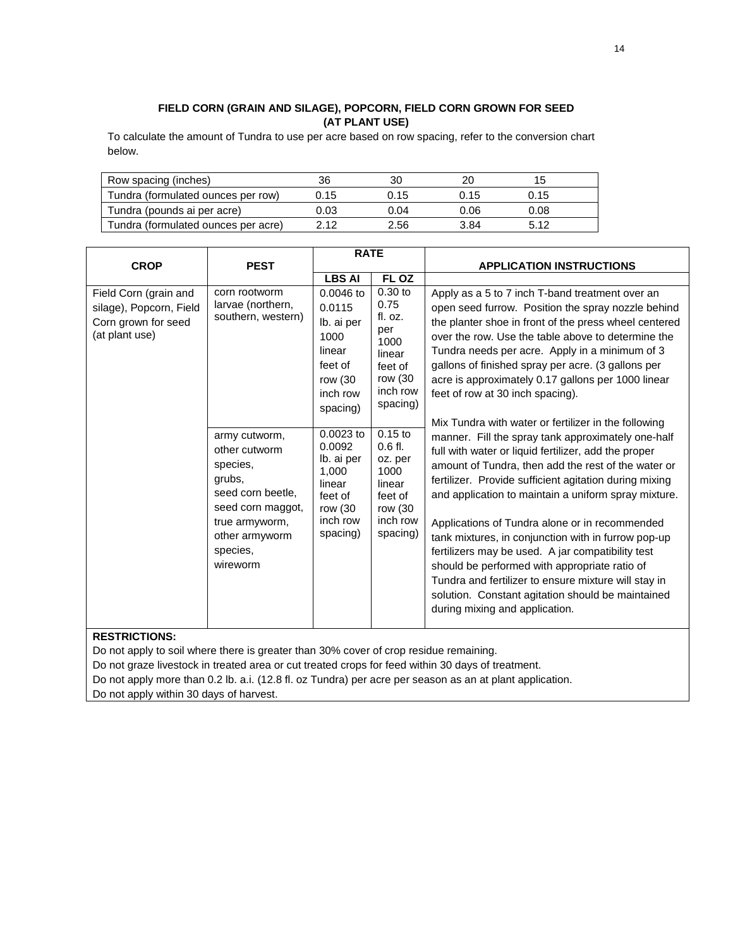### **FIELD CORN (GRAIN AND SILAGE), POPCORN, FIELD CORN GROWN FOR SEED (AT PLANT USE)**

To calculate the amount of Tundra to use per acre based on row spacing, refer to the conversion chart below.

| Row spacing (inches)                | 36   | 30   |      |      |  |
|-------------------------------------|------|------|------|------|--|
| Tundra (formulated ounces per row)  | 0.15 | 0.15 | 0.15 | 0.15 |  |
| Tundra (pounds ai per acre)         | 0.03 | 0.04 | 0.06 | 0.08 |  |
| Tundra (formulated ounces per acre) | 2.12 | 2.56 | 3.84 | 5.12 |  |

|                                                                                           |                                                                                                                                                                 | <b>RATE</b>                                                                                          |                                                                                                                                                                                                                                                                                                                                                                                                                                                                                |                                                                                                                                                                                                                                                                                                                                                                                                                                                                                                                                                                                                                                                   |
|-------------------------------------------------------------------------------------------|-----------------------------------------------------------------------------------------------------------------------------------------------------------------|------------------------------------------------------------------------------------------------------|--------------------------------------------------------------------------------------------------------------------------------------------------------------------------------------------------------------------------------------------------------------------------------------------------------------------------------------------------------------------------------------------------------------------------------------------------------------------------------|---------------------------------------------------------------------------------------------------------------------------------------------------------------------------------------------------------------------------------------------------------------------------------------------------------------------------------------------------------------------------------------------------------------------------------------------------------------------------------------------------------------------------------------------------------------------------------------------------------------------------------------------------|
| <b>CROP</b>                                                                               | <b>PEST</b>                                                                                                                                                     |                                                                                                      |                                                                                                                                                                                                                                                                                                                                                                                                                                                                                | <b>APPLICATION INSTRUCTIONS</b>                                                                                                                                                                                                                                                                                                                                                                                                                                                                                                                                                                                                                   |
|                                                                                           |                                                                                                                                                                 | <b>LBS AI</b>                                                                                        | FL OZ                                                                                                                                                                                                                                                                                                                                                                                                                                                                          |                                                                                                                                                                                                                                                                                                                                                                                                                                                                                                                                                                                                                                                   |
| Field Corn (grain and<br>silage), Popcorn, Field<br>Corn grown for seed<br>(at plant use) | corn rootworm<br>$0.0046$ to<br>larvae (northern,<br>0.0115<br>southern, western)<br>Ib. ai per<br>1000<br>linear<br>feet of<br>row (30<br>inch row<br>spacing) | $0.30$ to<br>0.75<br>fl. oz.<br>per<br>1000<br>linear<br>feet of<br>row (30<br>inch row<br>spacing)  | Apply as a 5 to 7 inch T-band treatment over an<br>open seed furrow. Position the spray nozzle behind<br>the planter shoe in front of the press wheel centered<br>over the row. Use the table above to determine the<br>Tundra needs per acre. Apply in a minimum of 3<br>gallons of finished spray per acre. (3 gallons per<br>acre is approximately 0.17 gallons per 1000 linear<br>feet of row at 30 inch spacing).<br>Mix Tundra with water or fertilizer in the following |                                                                                                                                                                                                                                                                                                                                                                                                                                                                                                                                                                                                                                                   |
|                                                                                           | army cutworm,<br>other cutworm<br>species,<br>grubs,<br>seed corn beetle,<br>seed corn maggot,<br>true armyworm,<br>other armyworm<br>species.<br>wireworm      | $0.0023$ to<br>0.0092<br>Ib. ai per<br>1,000<br>linear<br>feet of<br>row (30<br>inch row<br>spacing) | $0.15$ to<br>$0.6$ fl.<br>oz. per<br>1000<br>linear<br>feet of<br>row (30<br>inch row<br>spacing)                                                                                                                                                                                                                                                                                                                                                                              | manner. Fill the spray tank approximately one-half<br>full with water or liquid fertilizer, add the proper<br>amount of Tundra, then add the rest of the water or<br>fertilizer. Provide sufficient agitation during mixing<br>and application to maintain a uniform spray mixture.<br>Applications of Tundra alone or in recommended<br>tank mixtures, in conjunction with in furrow pop-up<br>fertilizers may be used. A jar compatibility test<br>should be performed with appropriate ratio of<br>Tundra and fertilizer to ensure mixture will stay in<br>solution. Constant agitation should be maintained<br>during mixing and application. |

#### **RESTRICTIONS:**

Do not apply to soil where there is greater than 30% cover of crop residue remaining.

Do not graze livestock in treated area or cut treated crops for feed within 30 days of treatment.

Do not apply more than 0.2 lb. a.i. (12.8 fl. oz Tundra) per acre per season as an at plant application.

Do not apply within 30 days of harvest.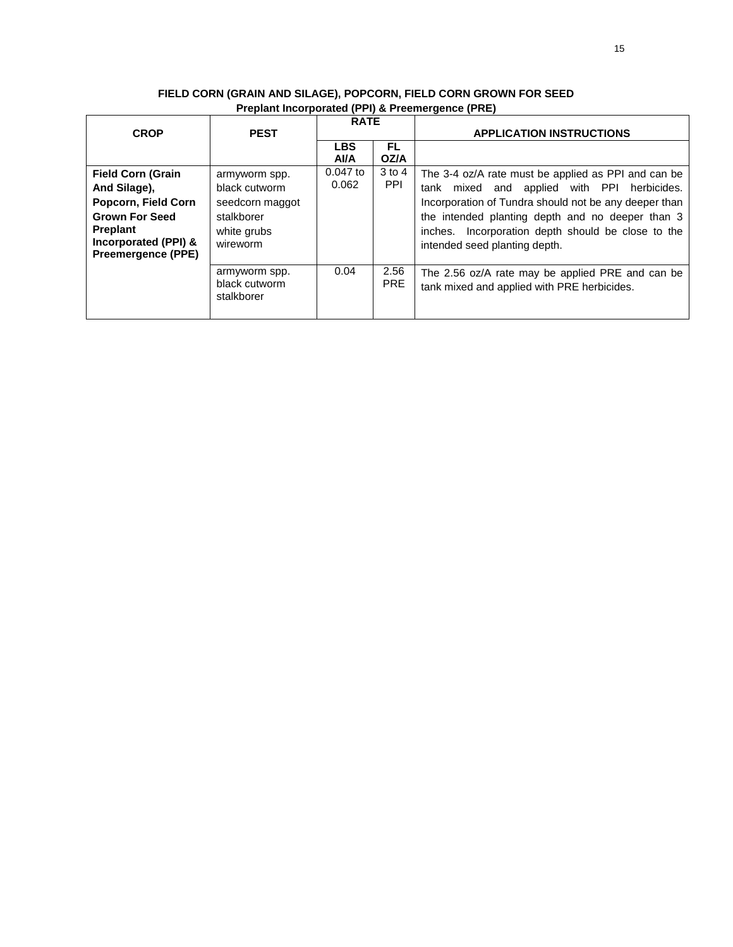|                                            |                                              | <b>RATE</b>        |                    |                                                                                                 |
|--------------------------------------------|----------------------------------------------|--------------------|--------------------|-------------------------------------------------------------------------------------------------|
| <b>CROP</b>                                | <b>PEST</b>                                  |                    |                    | <b>APPLICATION INSTRUCTIONS</b>                                                                 |
|                                            |                                              | <b>LBS</b><br>Al/A | FL.<br>OZ/A        |                                                                                                 |
| <b>Field Corn (Grain</b>                   | armyworm spp.                                | $0.047$ to         | $3$ to 4           | The 3-4 oz/A rate must be applied as PPI and can be                                             |
| And Silage),                               | black cutworm                                | 0.062              | <b>PPI</b>         | tank mixed and applied with PPI<br>herbicides.                                                  |
| Popcorn, Field Corn                        | seedcorn maggot                              |                    |                    | Incorporation of Tundra should not be any deeper than                                           |
| <b>Grown For Seed</b>                      | stalkborer                                   |                    |                    | the intended planting depth and no deeper than 3                                                |
| <b>Preplant</b>                            | white grubs                                  |                    |                    | inches. Incorporation depth should be close to the                                              |
| Incorporated (PPI) &<br>Preemergence (PPE) | wireworm                                     |                    |                    | intended seed planting depth.                                                                   |
|                                            | armyworm spp.<br>black cutworm<br>stalkborer | 0.04               | 2.56<br><b>PRE</b> | The 2.56 oz/A rate may be applied PRE and can be<br>tank mixed and applied with PRE herbicides. |

### **FIELD CORN (GRAIN AND SILAGE), POPCORN, FIELD CORN GROWN FOR SEED Preplant Incorporated (PPI) & Preemergence (PRE)**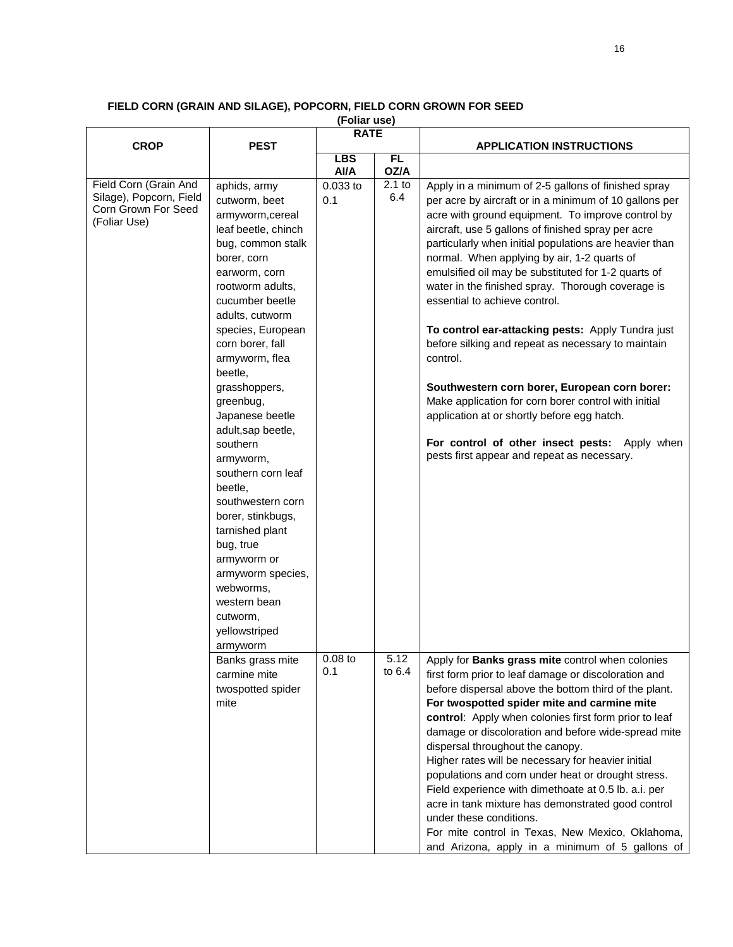| (Foliar use)                                                                            |                                                                                                                                                                                                                                                                                                                                                                                                                                                                                                                                                                                    |                    |                   |                                                                                                                                                                                                                                                                                                                                                                                                                                                                                                                                                                                                                                                                                                                                                                                                                                                               |  |  |  |
|-----------------------------------------------------------------------------------------|------------------------------------------------------------------------------------------------------------------------------------------------------------------------------------------------------------------------------------------------------------------------------------------------------------------------------------------------------------------------------------------------------------------------------------------------------------------------------------------------------------------------------------------------------------------------------------|--------------------|-------------------|---------------------------------------------------------------------------------------------------------------------------------------------------------------------------------------------------------------------------------------------------------------------------------------------------------------------------------------------------------------------------------------------------------------------------------------------------------------------------------------------------------------------------------------------------------------------------------------------------------------------------------------------------------------------------------------------------------------------------------------------------------------------------------------------------------------------------------------------------------------|--|--|--|
|                                                                                         |                                                                                                                                                                                                                                                                                                                                                                                                                                                                                                                                                                                    | <b>RATE</b>        |                   |                                                                                                                                                                                                                                                                                                                                                                                                                                                                                                                                                                                                                                                                                                                                                                                                                                                               |  |  |  |
| <b>CROP</b>                                                                             | <b>PEST</b>                                                                                                                                                                                                                                                                                                                                                                                                                                                                                                                                                                        |                    |                   | <b>APPLICATION INSTRUCTIONS</b>                                                                                                                                                                                                                                                                                                                                                                                                                                                                                                                                                                                                                                                                                                                                                                                                                               |  |  |  |
|                                                                                         |                                                                                                                                                                                                                                                                                                                                                                                                                                                                                                                                                                                    | <b>LBS</b><br>Al/A | <b>FL</b><br>OZ/A |                                                                                                                                                                                                                                                                                                                                                                                                                                                                                                                                                                                                                                                                                                                                                                                                                                                               |  |  |  |
| Field Corn (Grain And<br>Silage), Popcorn, Field<br>Corn Grown For Seed<br>(Foliar Use) | aphids, army<br>cutworm, beet<br>armyworm, cereal<br>leaf beetle, chinch<br>bug, common stalk<br>borer, corn<br>earworm, corn<br>rootworm adults,<br>cucumber beetle<br>adults, cutworm<br>species, European<br>corn borer, fall<br>armyworm, flea<br>beetle,<br>grasshoppers,<br>greenbug,<br>Japanese beetle<br>adult, sap beetle,<br>southern<br>armyworm,<br>southern corn leaf<br>beetle,<br>southwestern corn<br>borer, stinkbugs,<br>tarnished plant<br>bug, true<br>armyworm or<br>armyworm species,<br>webworms,<br>western bean<br>cutworm,<br>yellowstriped<br>armyworm | $0.033$ to<br>0.1  | $2.1$ to<br>6.4   | Apply in a minimum of 2-5 gallons of finished spray<br>per acre by aircraft or in a minimum of 10 gallons per<br>acre with ground equipment. To improve control by<br>aircraft, use 5 gallons of finished spray per acre<br>particularly when initial populations are heavier than<br>normal. When applying by air, 1-2 quarts of<br>emulsified oil may be substituted for 1-2 quarts of<br>water in the finished spray. Thorough coverage is<br>essential to achieve control.<br>To control ear-attacking pests: Apply Tundra just<br>before silking and repeat as necessary to maintain<br>control.<br>Southwestern corn borer, European corn borer:<br>Make application for corn borer control with initial<br>application at or shortly before egg hatch.<br>For control of other insect pests: Apply when<br>pests first appear and repeat as necessary. |  |  |  |
|                                                                                         | Banks grass mite<br>carmine mite<br>twospotted spider<br>mite                                                                                                                                                                                                                                                                                                                                                                                                                                                                                                                      | $0.08$ to<br>0.1   | 5.12<br>to $6.4$  | Apply for Banks grass mite control when colonies<br>first form prior to leaf damage or discoloration and<br>before dispersal above the bottom third of the plant.<br>For twospotted spider mite and carmine mite<br>control: Apply when colonies first form prior to leaf<br>damage or discoloration and before wide-spread mite<br>dispersal throughout the canopy.<br>Higher rates will be necessary for heavier initial<br>populations and corn under heat or drought stress.<br>Field experience with dimethoate at 0.5 lb. a.i. per<br>acre in tank mixture has demonstrated good control<br>under these conditions.<br>For mite control in Texas, New Mexico, Oklahoma,<br>and Arizona, apply in a minimum of 5 gallons of I                                                                                                                            |  |  |  |

#### **FIELD CORN (GRAIN AND SILAGE), POPCORN, FIELD CORN GROWN FOR SEED**

and Arizona, apply in a minimum of 5 gallons of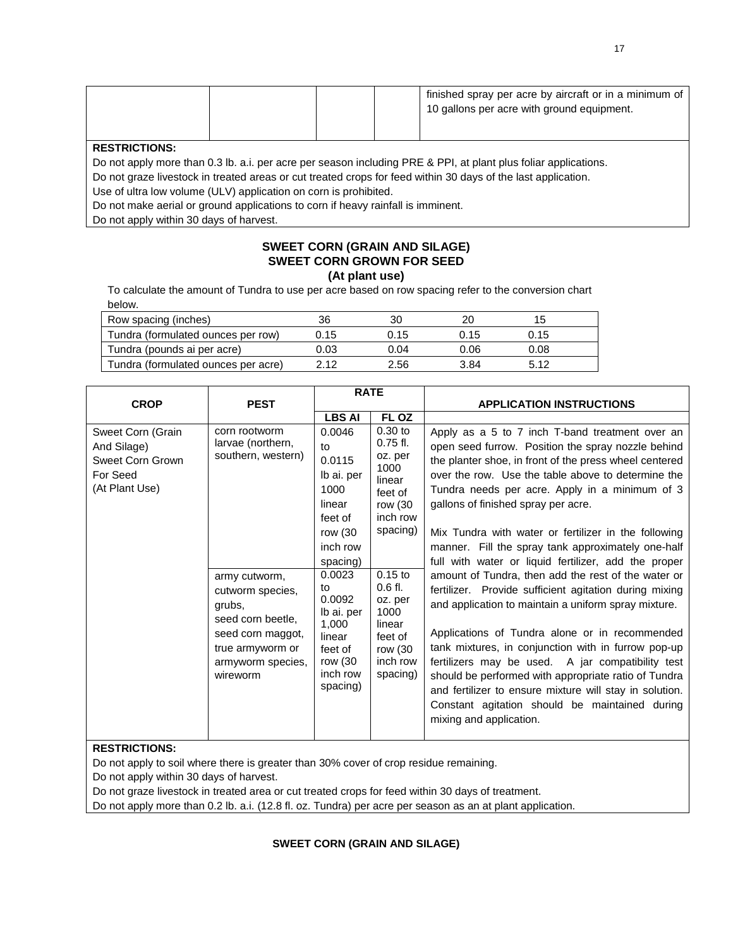|  |  |  |  | finished spray per acre by aircraft or in a minimum of<br>10 gallons per acre with ground equipment. |
|--|--|--|--|------------------------------------------------------------------------------------------------------|
|--|--|--|--|------------------------------------------------------------------------------------------------------|

Do not apply more than 0.3 lb. a.i. per acre per season including PRE & PPI, at plant plus foliar applications.

Do not graze livestock in treated areas or cut treated crops for feed within 30 days of the last application.

Use of ultra low volume (ULV) application on corn is prohibited.

Do not make aerial or ground applications to corn if heavy rainfall is imminent.

Do not apply within 30 days of harvest.

### **SWEET CORN (GRAIN AND SILAGE) SWEET CORN GROWN FOR SEED**

**(At plant use)**

To calculate the amount of Tundra to use per acre based on row spacing refer to the conversion chart below.

| Row spacing (inches)                | 36   | 30   |      |      |  |
|-------------------------------------|------|------|------|------|--|
| Tundra (formulated ounces per row)  | 0.15 | J.15 | 0.15 | 0.15 |  |
| Tundra (pounds ai per acre)         | 0.03 | 0.04 | 0.06 | 0.08 |  |
| Tundra (formulated ounces per acre) | 2 12 | 2.56 | 3.84 | 5.12 |  |

|                                                                                    |                                                                                                                                                                                                        | <b>RATE</b>                                                                                                                                                                                                   |                                                                                                                                                                                                         |                                                                                                                                                                                                                                                                                                                                                                                                                                                                                                                                                                                                                                                                                                                                                                                                                                                                                                                                                                                                                             |
|------------------------------------------------------------------------------------|--------------------------------------------------------------------------------------------------------------------------------------------------------------------------------------------------------|---------------------------------------------------------------------------------------------------------------------------------------------------------------------------------------------------------------|---------------------------------------------------------------------------------------------------------------------------------------------------------------------------------------------------------|-----------------------------------------------------------------------------------------------------------------------------------------------------------------------------------------------------------------------------------------------------------------------------------------------------------------------------------------------------------------------------------------------------------------------------------------------------------------------------------------------------------------------------------------------------------------------------------------------------------------------------------------------------------------------------------------------------------------------------------------------------------------------------------------------------------------------------------------------------------------------------------------------------------------------------------------------------------------------------------------------------------------------------|
| <b>CROP</b>                                                                        | <b>PEST</b>                                                                                                                                                                                            |                                                                                                                                                                                                               |                                                                                                                                                                                                         | <b>APPLICATION INSTRUCTIONS</b>                                                                                                                                                                                                                                                                                                                                                                                                                                                                                                                                                                                                                                                                                                                                                                                                                                                                                                                                                                                             |
|                                                                                    |                                                                                                                                                                                                        | <b>LBS AI</b>                                                                                                                                                                                                 | FL OZ                                                                                                                                                                                                   |                                                                                                                                                                                                                                                                                                                                                                                                                                                                                                                                                                                                                                                                                                                                                                                                                                                                                                                                                                                                                             |
| Sweet Corn (Grain<br>And Silage)<br>Sweet Corn Grown<br>For Seed<br>(At Plant Use) | corn rootworm<br>larvae (northern,<br>southern, western)<br>army cutworm,<br>cutworm species,<br>grubs,<br>seed corn beetle,<br>seed corn maggot,<br>true armyworm or<br>armyworm species,<br>wireworm | 0.0046<br>to<br>0.0115<br>Ib ai. per<br>1000<br>linear<br>feet of<br>row (30<br>inch row<br>spacing)<br>0.0023<br>to<br>0.0092<br>Ib ai. per<br>1,000<br>linear<br>feet of<br>row (30<br>inch row<br>spacing) | $0.30$ to<br>$0.75$ fl.<br>oz. per<br>1000<br>linear<br>feet of<br>row (30<br>inch row<br>spacing)<br>$0.15$ to<br>$0.6$ fl.<br>oz. per<br>1000<br>linear<br>feet of<br>row (30<br>inch row<br>spacing) | Apply as a 5 to 7 inch T-band treatment over an<br>open seed furrow. Position the spray nozzle behind<br>the planter shoe, in front of the press wheel centered<br>over the row. Use the table above to determine the<br>Tundra needs per acre. Apply in a minimum of 3<br>gallons of finished spray per acre.<br>Mix Tundra with water or fertilizer in the following<br>manner. Fill the spray tank approximately one-half<br>full with water or liquid fertilizer, add the proper<br>amount of Tundra, then add the rest of the water or<br>fertilizer. Provide sufficient agitation during mixing<br>and application to maintain a uniform spray mixture.<br>Applications of Tundra alone or in recommended<br>tank mixtures, in conjunction with in furrow pop-up<br>fertilizers may be used. A jar compatibility test<br>should be performed with appropriate ratio of Tundra<br>and fertilizer to ensure mixture will stay in solution.<br>Constant agitation should be maintained during<br>mixing and application. |

### **RESTRICTIONS:**

Do not apply to soil where there is greater than 30% cover of crop residue remaining.

Do not apply within 30 days of harvest.

Do not graze livestock in treated area or cut treated crops for feed within 30 days of treatment.

Do not apply more than 0.2 lb. a.i. (12.8 fl. oz. Tundra) per acre per season as an at plant application.

**SWEET CORN (GRAIN AND SILAGE)**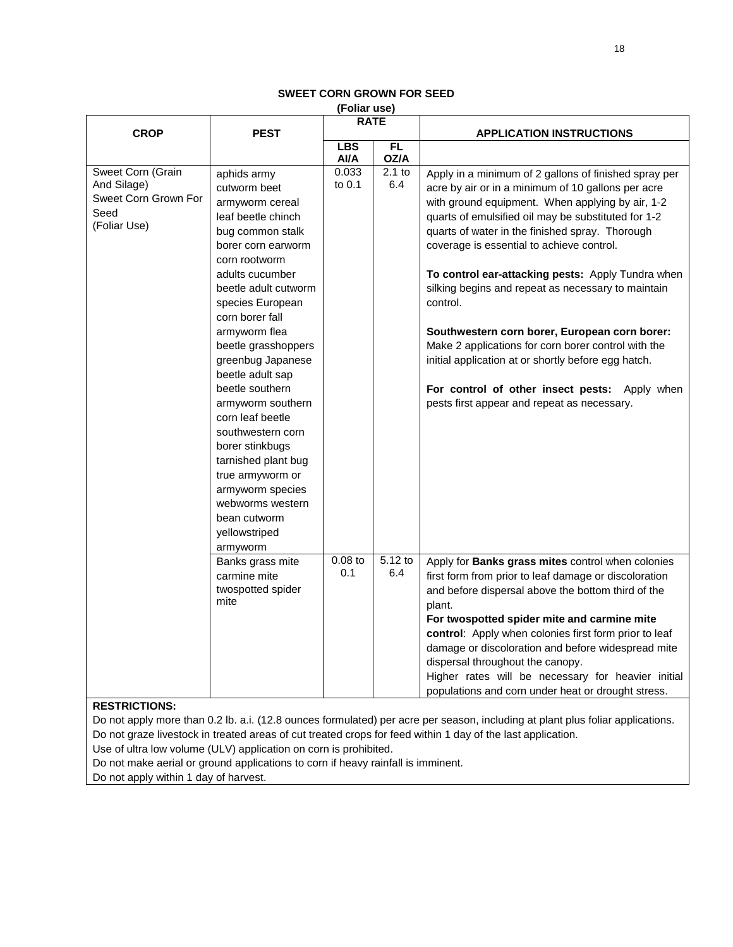#### **SWEET CORN GROWN FOR SEED (Foliar use)**

| (Follar use)                                                                     |                                                                                                                                                                                                                                                                                                                                                                                                                                                                                                                                        |                    |                  |                                                                                                                                                                                                                                                                                                                                                                                                                                                                                                                                                                                                                                                                                                              |  |  |  |  |
|----------------------------------------------------------------------------------|----------------------------------------------------------------------------------------------------------------------------------------------------------------------------------------------------------------------------------------------------------------------------------------------------------------------------------------------------------------------------------------------------------------------------------------------------------------------------------------------------------------------------------------|--------------------|------------------|--------------------------------------------------------------------------------------------------------------------------------------------------------------------------------------------------------------------------------------------------------------------------------------------------------------------------------------------------------------------------------------------------------------------------------------------------------------------------------------------------------------------------------------------------------------------------------------------------------------------------------------------------------------------------------------------------------------|--|--|--|--|
| <b>CROP</b>                                                                      | <b>PEST</b>                                                                                                                                                                                                                                                                                                                                                                                                                                                                                                                            | <b>RATE</b>        |                  | <b>APPLICATION INSTRUCTIONS</b>                                                                                                                                                                                                                                                                                                                                                                                                                                                                                                                                                                                                                                                                              |  |  |  |  |
|                                                                                  |                                                                                                                                                                                                                                                                                                                                                                                                                                                                                                                                        | <b>LBS</b><br>Al/A | FL.<br>OZ/A      |                                                                                                                                                                                                                                                                                                                                                                                                                                                                                                                                                                                                                                                                                                              |  |  |  |  |
| Sweet Corn (Grain<br>And Silage)<br>Sweet Corn Grown For<br>Seed<br>(Foliar Use) | aphids army<br>cutworm beet<br>armyworm cereal<br>leaf beetle chinch<br>bug common stalk<br>borer corn earworm<br>corn rootworm<br>adults cucumber<br>beetle adult cutworm<br>species European<br>corn borer fall<br>armyworm flea<br>beetle grasshoppers<br>greenbug Japanese<br>beetle adult sap<br>beetle southern<br>armyworm southern<br>corn leaf beetle<br>southwestern corn<br>borer stinkbugs<br>tarnished plant bug<br>true armyworm or<br>armyworm species<br>webworms western<br>bean cutworm<br>yellowstriped<br>armyworm | 0.033<br>to 0.1    | $2.1$ to<br>6.4  | Apply in a minimum of 2 gallons of finished spray per<br>acre by air or in a minimum of 10 gallons per acre<br>with ground equipment. When applying by air, 1-2<br>quarts of emulsified oil may be substituted for 1-2<br>quarts of water in the finished spray. Thorough<br>coverage is essential to achieve control.<br>To control ear-attacking pests: Apply Tundra when<br>silking begins and repeat as necessary to maintain<br>control.<br>Southwestern corn borer, European corn borer:<br>Make 2 applications for corn borer control with the<br>initial application at or shortly before egg hatch.<br>For control of other insect pests: Apply when<br>pests first appear and repeat as necessary. |  |  |  |  |
| <b>RESTRICTIONS:</b>                                                             | Banks grass mite<br>carmine mite<br>twospotted spider<br>mite                                                                                                                                                                                                                                                                                                                                                                                                                                                                          | $0.08$ to<br>0.1   | $5.12$ to<br>6.4 | Apply for Banks grass mites control when colonies<br>first form from prior to leaf damage or discoloration<br>and before dispersal above the bottom third of the<br>plant.<br>For twospotted spider mite and carmine mite<br>control: Apply when colonies first form prior to leaf<br>damage or discoloration and before widespread mite<br>dispersal throughout the canopy.<br>Higher rates will be necessary for heavier initial<br>populations and corn under heat or drought stress.                                                                                                                                                                                                                     |  |  |  |  |
|                                                                                  | Do not apply more than 0.2 lb. a.i. (12.8 ounces formulated) per acre per season, including at plant plus foliar applications.                                                                                                                                                                                                                                                                                                                                                                                                         |                    |                  |                                                                                                                                                                                                                                                                                                                                                                                                                                                                                                                                                                                                                                                                                                              |  |  |  |  |

Do not graze livestock in treated areas of cut treated crops for feed within 1 day of the last application. Use of ultra low volume (ULV) application on corn is prohibited.

Do not make aerial or ground applications to corn if heavy rainfall is imminent.

Do not apply within 1 day of harvest.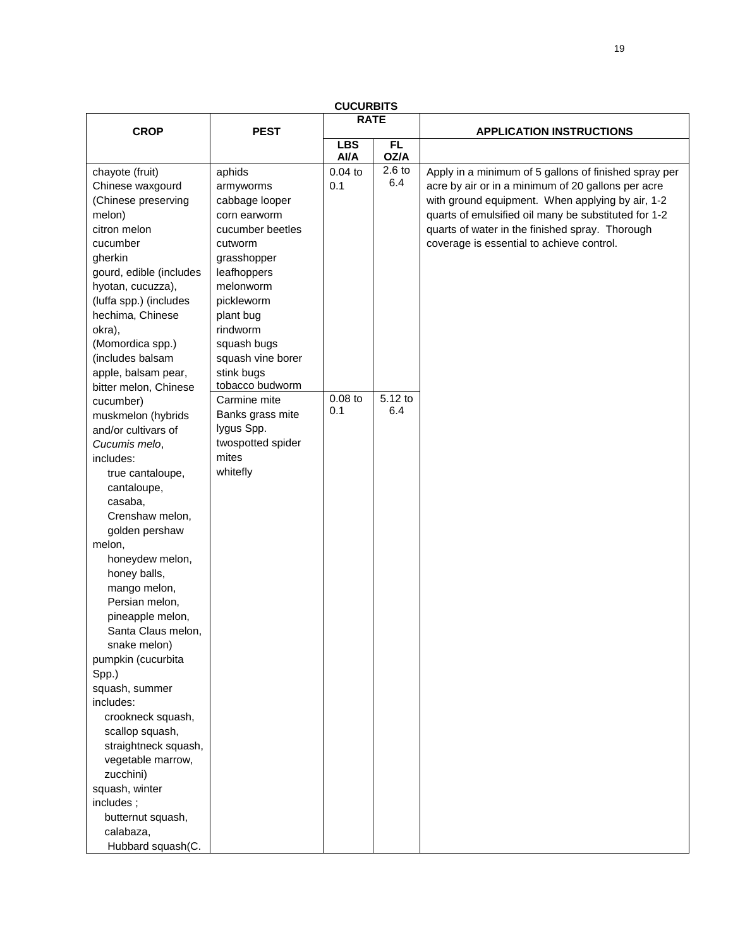| <b>CUCURBITS</b>        |                   |             |          |                                                       |  |  |
|-------------------------|-------------------|-------------|----------|-------------------------------------------------------|--|--|
| <b>CROP</b>             | <b>PEST</b>       | <b>RATE</b> |          | <b>APPLICATION INSTRUCTIONS</b>                       |  |  |
|                         |                   | <b>LBS</b>  | FL       |                                                       |  |  |
|                         |                   | Al/A        | OZ/A     |                                                       |  |  |
| chayote (fruit)         | aphids            | $0.04$ to   | $2.6$ to | Apply in a minimum of 5 gallons of finished spray per |  |  |
| Chinese waxgourd        | armyworms         | 0.1         | 6.4      | acre by air or in a minimum of 20 gallons per acre    |  |  |
| (Chinese preserving     | cabbage looper    |             |          | with ground equipment. When applying by air, 1-2      |  |  |
| melon)                  | corn earworm      |             |          | quarts of emulsified oil many be substituted for 1-2  |  |  |
| citron melon            | cucumber beetles  |             |          | quarts of water in the finished spray. Thorough       |  |  |
| cucumber                | cutworm           |             |          | coverage is essential to achieve control.             |  |  |
| gherkin                 | grasshopper       |             |          |                                                       |  |  |
| gourd, edible (includes | leafhoppers       |             |          |                                                       |  |  |
| hyotan, cucuzza),       | melonworm         |             |          |                                                       |  |  |
| (luffa spp.) (includes  | pickleworm        |             |          |                                                       |  |  |
| hechima, Chinese        | plant bug         |             |          |                                                       |  |  |
| okra),                  | rindworm          |             |          |                                                       |  |  |
| (Momordica spp.)        | squash bugs       |             |          |                                                       |  |  |
| (includes balsam        | squash vine borer |             |          |                                                       |  |  |
| apple, balsam pear,     | stink bugs        |             |          |                                                       |  |  |
| bitter melon, Chinese   | tobacco budworm   |             |          |                                                       |  |  |
| cucumber)               | Carmine mite      | $0.08$ to   | 5.12 to  |                                                       |  |  |
| muskmelon (hybrids      | Banks grass mite  | 0.1         | 6.4      |                                                       |  |  |
| and/or cultivars of     | lygus Spp.        |             |          |                                                       |  |  |
| Cucumis melo,           | twospotted spider |             |          |                                                       |  |  |
| includes:               | mites             |             |          |                                                       |  |  |
| true cantaloupe,        | whitefly          |             |          |                                                       |  |  |
| cantaloupe,             |                   |             |          |                                                       |  |  |
| casaba,                 |                   |             |          |                                                       |  |  |
| Crenshaw melon,         |                   |             |          |                                                       |  |  |
| golden pershaw          |                   |             |          |                                                       |  |  |
| melon,                  |                   |             |          |                                                       |  |  |
| honeydew melon,         |                   |             |          |                                                       |  |  |
| honey balls,            |                   |             |          |                                                       |  |  |
| mango melon,            |                   |             |          |                                                       |  |  |
| Persian melon,          |                   |             |          |                                                       |  |  |
| pineapple melon,        |                   |             |          |                                                       |  |  |
| Santa Claus melon,      |                   |             |          |                                                       |  |  |
| snake melon)            |                   |             |          |                                                       |  |  |
| pumpkin (cucurbita      |                   |             |          |                                                       |  |  |
| Spp.)                   |                   |             |          |                                                       |  |  |
| squash, summer          |                   |             |          |                                                       |  |  |
| includes:               |                   |             |          |                                                       |  |  |
| crookneck squash,       |                   |             |          |                                                       |  |  |
| scallop squash,         |                   |             |          |                                                       |  |  |
| straightneck squash,    |                   |             |          |                                                       |  |  |
| vegetable marrow,       |                   |             |          |                                                       |  |  |
| zucchini)               |                   |             |          |                                                       |  |  |
| squash, winter          |                   |             |          |                                                       |  |  |
| includes;               |                   |             |          |                                                       |  |  |
| butternut squash,       |                   |             |          |                                                       |  |  |
| calabaza,               |                   |             |          |                                                       |  |  |
| Hubbard squash(C.       |                   |             |          |                                                       |  |  |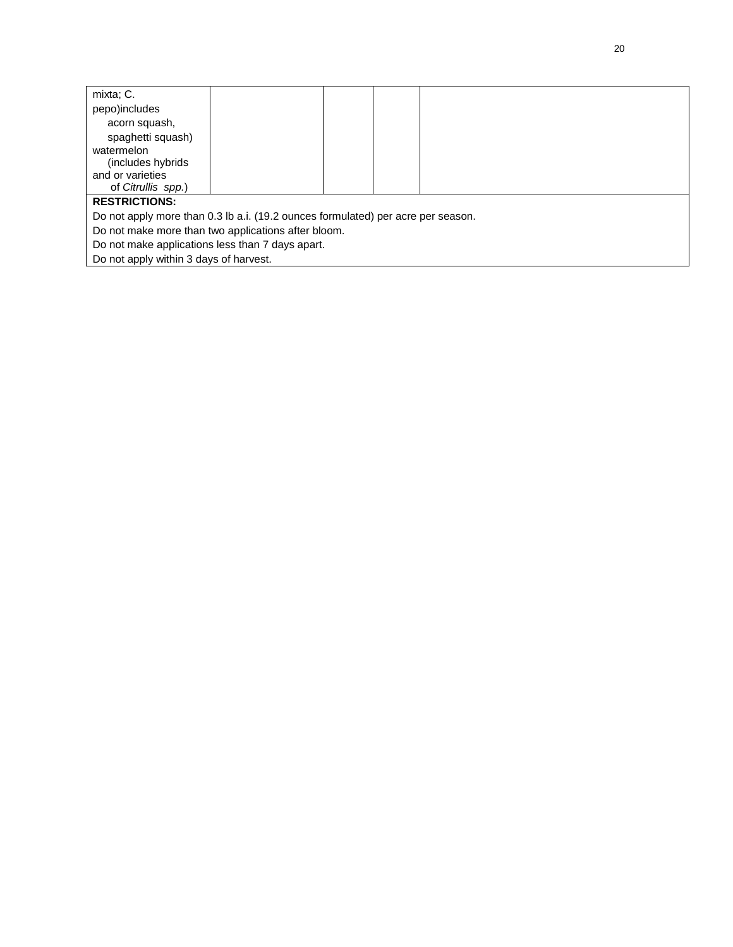| mixta; C.                                                                        |  |  |  |  |  |  |  |
|----------------------------------------------------------------------------------|--|--|--|--|--|--|--|
| pepo)includes                                                                    |  |  |  |  |  |  |  |
| acorn squash,                                                                    |  |  |  |  |  |  |  |
| spaghetti squash)                                                                |  |  |  |  |  |  |  |
| watermelon                                                                       |  |  |  |  |  |  |  |
| (includes hybrids)                                                               |  |  |  |  |  |  |  |
| and or varieties                                                                 |  |  |  |  |  |  |  |
| of Citrullis spp.)                                                               |  |  |  |  |  |  |  |
| <b>RESTRICTIONS:</b>                                                             |  |  |  |  |  |  |  |
| Do not apply more than 0.3 lb a.i. (19.2 ounces formulated) per acre per season. |  |  |  |  |  |  |  |
| Do not make more than two applications after bloom.                              |  |  |  |  |  |  |  |
| Do not make applications less than 7 days apart.                                 |  |  |  |  |  |  |  |
| Do not apply within 3 days of harvest.                                           |  |  |  |  |  |  |  |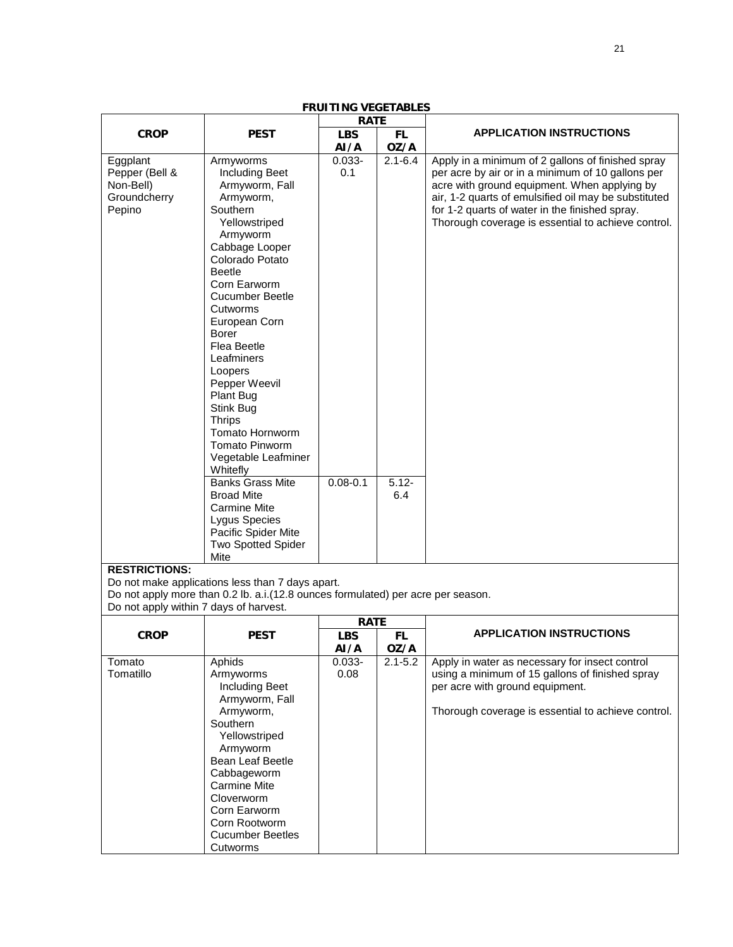| <b>FRUITING VEGETABLES</b>             |                                                                                  |                           |             |                                                      |  |  |  |
|----------------------------------------|----------------------------------------------------------------------------------|---------------------------|-------------|------------------------------------------------------|--|--|--|
|                                        |                                                                                  | <b>RATE</b>               |             |                                                      |  |  |  |
| <b>CROP</b>                            | <b>PEST</b>                                                                      | <b>LBS</b>                | FL.         | <b>APPLICATION INSTRUCTIONS</b>                      |  |  |  |
|                                        |                                                                                  | AI/A                      | OZ/A        |                                                      |  |  |  |
| Eggplant                               | Armyworms                                                                        | $0.033 -$                 | $2.1 - 6.4$ | Apply in a minimum of 2 gallons of finished spray    |  |  |  |
| Pepper (Bell &                         | <b>Including Beet</b>                                                            | 0.1                       |             | per acre by air or in a minimum of 10 gallons per    |  |  |  |
| Non-Bell)                              | Armyworm, Fall                                                                   |                           |             | acre with ground equipment. When applying by         |  |  |  |
| Groundcherry                           | Armyworm,                                                                        |                           |             | air, 1-2 quarts of emulsified oil may be substituted |  |  |  |
| Pepino                                 | Southern                                                                         |                           |             | for 1-2 quarts of water in the finished spray.       |  |  |  |
|                                        | Yellowstriped                                                                    |                           |             | Thorough coverage is essential to achieve control.   |  |  |  |
|                                        | Armyworm                                                                         |                           |             |                                                      |  |  |  |
|                                        | Cabbage Looper                                                                   |                           |             |                                                      |  |  |  |
|                                        | Colorado Potato                                                                  |                           |             |                                                      |  |  |  |
|                                        | <b>Beetle</b>                                                                    |                           |             |                                                      |  |  |  |
|                                        | Corn Earworm                                                                     |                           |             |                                                      |  |  |  |
|                                        | <b>Cucumber Beetle</b>                                                           |                           |             |                                                      |  |  |  |
|                                        | Cutworms                                                                         |                           |             |                                                      |  |  |  |
|                                        | European Corn                                                                    |                           |             |                                                      |  |  |  |
|                                        | <b>Borer</b>                                                                     |                           |             |                                                      |  |  |  |
|                                        | <b>Flea Beetle</b>                                                               |                           |             |                                                      |  |  |  |
|                                        | Leafminers                                                                       |                           |             |                                                      |  |  |  |
|                                        | Loopers                                                                          |                           |             |                                                      |  |  |  |
|                                        | Pepper Weevil                                                                    |                           |             |                                                      |  |  |  |
|                                        | Plant Bug                                                                        |                           |             |                                                      |  |  |  |
|                                        | Stink Bug                                                                        |                           |             |                                                      |  |  |  |
|                                        | <b>Thrips</b>                                                                    |                           |             |                                                      |  |  |  |
|                                        | Tomato Hornworm                                                                  |                           |             |                                                      |  |  |  |
|                                        | Tomato Pinworm                                                                   |                           |             |                                                      |  |  |  |
|                                        | Vegetable Leafminer                                                              |                           |             |                                                      |  |  |  |
|                                        | Whitefly                                                                         |                           |             |                                                      |  |  |  |
|                                        | <b>Banks Grass Mite</b>                                                          | $0.08 - 0.1$              | $5.12 -$    |                                                      |  |  |  |
|                                        | <b>Broad Mite</b>                                                                |                           | 6.4         |                                                      |  |  |  |
|                                        | <b>Carmine Mite</b>                                                              |                           |             |                                                      |  |  |  |
|                                        | Lygus Species                                                                    |                           |             |                                                      |  |  |  |
|                                        | Pacific Spider Mite                                                              |                           |             |                                                      |  |  |  |
|                                        | <b>Two Spotted Spider</b>                                                        |                           |             |                                                      |  |  |  |
|                                        | Mite                                                                             |                           |             |                                                      |  |  |  |
| <b>RESTRICTIONS:</b>                   |                                                                                  |                           |             |                                                      |  |  |  |
|                                        | Do not make applications less than 7 days apart.                                 |                           |             |                                                      |  |  |  |
| Do not apply within 7 days of harvest. | Do not apply more than 0.2 lb. a.i.(12.8 ounces formulated) per acre per season. |                           |             |                                                      |  |  |  |
|                                        |                                                                                  |                           |             |                                                      |  |  |  |
| <b>CROP</b>                            | <b>PEST</b>                                                                      | <b>RATE</b><br><b>LBS</b> | FL.         | <b>APPLICATION INSTRUCTIONS</b>                      |  |  |  |
|                                        |                                                                                  | AI/A                      | OZ/A        |                                                      |  |  |  |
| Tomato                                 | Aphids                                                                           | $0.033 -$                 | $2.1 - 5.2$ | Apply in water as necessary for insect control       |  |  |  |
| Tomatillo                              | Armyworms                                                                        | 0.08                      |             | using a minimum of 15 gallons of finished spray      |  |  |  |
|                                        | <b>Including Beet</b>                                                            |                           |             | per acre with ground equipment.                      |  |  |  |
|                                        | Armyworm, Fall                                                                   |                           |             |                                                      |  |  |  |
|                                        | Armyworm,                                                                        |                           |             | Thorough coverage is essential to achieve control.   |  |  |  |
|                                        | Southern                                                                         |                           |             |                                                      |  |  |  |
|                                        | Yellowstriped                                                                    |                           |             |                                                      |  |  |  |
|                                        | Armyworm                                                                         |                           |             |                                                      |  |  |  |
|                                        | Bean Leaf Beetle                                                                 |                           |             |                                                      |  |  |  |
|                                        | Cabbageworm                                                                      |                           |             |                                                      |  |  |  |
|                                        | <b>Carmine Mite</b>                                                              |                           |             |                                                      |  |  |  |
|                                        | Cloverworm                                                                       |                           |             |                                                      |  |  |  |
|                                        | Corn Earworm                                                                     |                           |             |                                                      |  |  |  |
|                                        | Corn Rootworm                                                                    |                           |             |                                                      |  |  |  |
|                                        | <b>Cucumber Beetles</b>                                                          |                           |             |                                                      |  |  |  |
|                                        | Cutworms                                                                         |                           |             |                                                      |  |  |  |

21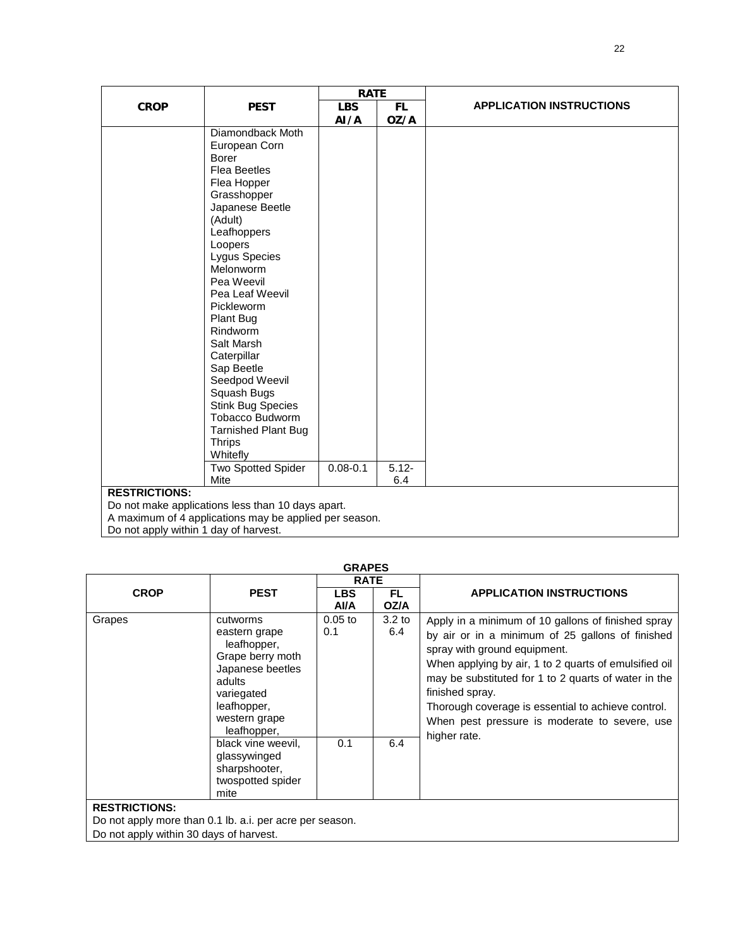|             |                                                                           | <b>RATE</b>  |           |                                 |  |  |  |
|-------------|---------------------------------------------------------------------------|--------------|-----------|---------------------------------|--|--|--|
| <b>CROP</b> | <b>PEST</b>                                                               | <b>LBS</b>   | <b>FL</b> | <b>APPLICATION INSTRUCTIONS</b> |  |  |  |
|             |                                                                           | AI/A         | OZ/A      |                                 |  |  |  |
|             | Diamondback Moth                                                          |              |           |                                 |  |  |  |
|             | European Corn                                                             |              |           |                                 |  |  |  |
|             | <b>Borer</b>                                                              |              |           |                                 |  |  |  |
|             | <b>Flea Beetles</b>                                                       |              |           |                                 |  |  |  |
|             | Flea Hopper                                                               |              |           |                                 |  |  |  |
|             | Grasshopper                                                               |              |           |                                 |  |  |  |
|             | Japanese Beetle                                                           |              |           |                                 |  |  |  |
|             | (Adult)                                                                   |              |           |                                 |  |  |  |
|             | Leafhoppers                                                               |              |           |                                 |  |  |  |
|             | Loopers                                                                   |              |           |                                 |  |  |  |
|             | Lygus Species                                                             |              |           |                                 |  |  |  |
|             | Melonworm                                                                 |              |           |                                 |  |  |  |
|             | Pea Weevil                                                                |              |           |                                 |  |  |  |
|             | Pea Leaf Weevil                                                           |              |           |                                 |  |  |  |
|             | Pickleworm                                                                |              |           |                                 |  |  |  |
|             | Plant Bug                                                                 |              |           |                                 |  |  |  |
|             | Rindworm                                                                  |              |           |                                 |  |  |  |
|             | Salt Marsh                                                                |              |           |                                 |  |  |  |
|             | Caterpillar                                                               |              |           |                                 |  |  |  |
|             | Sap Beetle                                                                |              |           |                                 |  |  |  |
|             | Seedpod Weevil                                                            |              |           |                                 |  |  |  |
|             | Squash Bugs                                                               |              |           |                                 |  |  |  |
|             | <b>Stink Bug Species</b>                                                  |              |           |                                 |  |  |  |
|             | Tobacco Budworm                                                           |              |           |                                 |  |  |  |
|             | <b>Tarnished Plant Bug</b><br><b>Thrips</b>                               |              |           |                                 |  |  |  |
|             | Whitefly                                                                  |              |           |                                 |  |  |  |
|             | <b>Two Spotted Spider</b>                                                 | $0.08 - 0.1$ | $5.12 -$  |                                 |  |  |  |
|             | Mite                                                                      |              | 6.4       |                                 |  |  |  |
|             |                                                                           |              |           |                                 |  |  |  |
|             | <b>RESTRICTIONS:</b><br>Do not make applications less than 10 days apart. |              |           |                                 |  |  |  |
|             | A maximum of 4 applications may be applied per season.                    |              |           |                                 |  |  |  |

A maximum of 4 applications may be applied per season.

Do not apply within 1 day of harvest.

|                                                                                                                             |                                                                                                                                                         | <b>RATE</b>       |                          |                                                                                                                                                                                                                                                                                                                                                                                                   |
|-----------------------------------------------------------------------------------------------------------------------------|---------------------------------------------------------------------------------------------------------------------------------------------------------|-------------------|--------------------------|---------------------------------------------------------------------------------------------------------------------------------------------------------------------------------------------------------------------------------------------------------------------------------------------------------------------------------------------------------------------------------------------------|
| <b>CROP</b>                                                                                                                 | <b>PEST</b>                                                                                                                                             | <b>LBS</b><br>AVA | <b>FL</b><br>OZ/A        | <b>APPLICATION INSTRUCTIONS</b>                                                                                                                                                                                                                                                                                                                                                                   |
| Grapes                                                                                                                      | cutworms<br>eastern grape<br>leafhopper,<br>Grape berry moth<br>Japanese beetles<br>adults<br>variegated<br>leafhopper,<br>western grape<br>leafhopper, | $0.05$ to<br>0.1  | 3.2 <sub>to</sub><br>6.4 | Apply in a minimum of 10 gallons of finished spray<br>by air or in a minimum of 25 gallons of finished<br>spray with ground equipment.<br>When applying by air, 1 to 2 quarts of emulsified oil<br>may be substituted for 1 to 2 quarts of water in the<br>finished spray.<br>Thorough coverage is essential to achieve control.<br>When pest pressure is moderate to severe, use<br>higher rate. |
|                                                                                                                             | black vine weevil,<br>glassywinged<br>sharpshooter,<br>twospotted spider<br>mite                                                                        | 0.1               | 6.4                      |                                                                                                                                                                                                                                                                                                                                                                                                   |
| <b>RESTRICTIONS:</b><br>Do not apply more than 0.1 lb. a.i. per acre per season.<br>Do not apply within 30 days of harvest. |                                                                                                                                                         |                   |                          |                                                                                                                                                                                                                                                                                                                                                                                                   |

**GRAPES**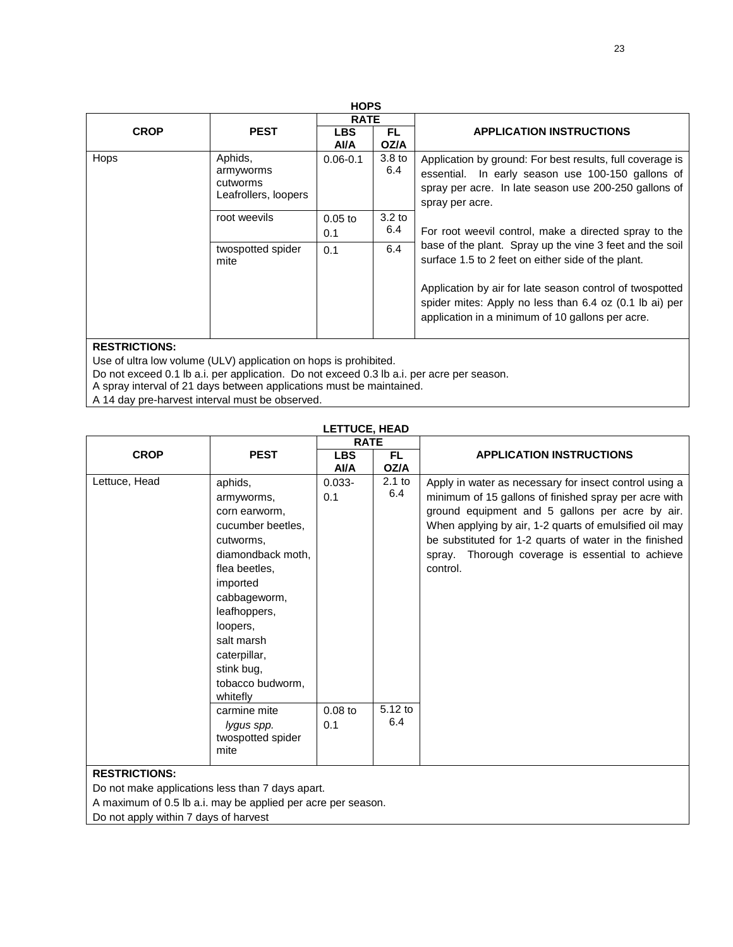| <b>HOPS</b> |                                                                      |                          |                                                                                                                                                                         |                                                                                                                                                                                            |  |  |  |  |
|-------------|----------------------------------------------------------------------|--------------------------|-------------------------------------------------------------------------------------------------------------------------------------------------------------------------|--------------------------------------------------------------------------------------------------------------------------------------------------------------------------------------------|--|--|--|--|
|             |                                                                      | <b>RATE</b>              |                                                                                                                                                                         |                                                                                                                                                                                            |  |  |  |  |
| <b>CROP</b> | <b>PEST</b>                                                          | <b>LBS</b><br>AVA        | FL.<br>OZ/A                                                                                                                                                             | <b>APPLICATION INSTRUCTIONS</b>                                                                                                                                                            |  |  |  |  |
| Hops        | Aphids,<br>armyworms<br>cutworms<br>Leafrollers, loopers             | $0.06 - 0.1$             | 3.8 to<br>6.4                                                                                                                                                           | Application by ground: For best results, full coverage is<br>essential. In early season use 100-150 gallons of<br>spray per acre. In late season use 200-250 gallons of<br>spray per acre. |  |  |  |  |
|             | root weevils<br>$0.05$ to<br>0.1<br>twospotted spider<br>0.1<br>mite | 3.2 <sub>to</sub><br>6.4 | For root weevil control, make a directed spray to the<br>base of the plant. Spray up the vine 3 feet and the soil<br>surface 1.5 to 2 feet on either side of the plant. |                                                                                                                                                                                            |  |  |  |  |
|             |                                                                      | 6.4                      |                                                                                                                                                                         |                                                                                                                                                                                            |  |  |  |  |
|             |                                                                      |                          |                                                                                                                                                                         | Application by air for late season control of twospotted<br>spider mites: Apply no less than 6.4 oz (0.1 lb ai) per<br>application in a minimum of 10 gallons per acre.                    |  |  |  |  |

Use of ultra low volume (ULV) application on hops is prohibited.

Do not exceed 0.1 lb a.i. per application. Do not exceed 0.3 lb a.i. per acre per season.

A spray interval of 21 days between applications must be maintained.

A 14 day pre-harvest interval must be observed.

|                                       |                                                                                                                                                                                                                                                                                                               | <b>RATE</b>                          |                                   |                                                                                                                                                                                                                                                                                                                                                        |
|---------------------------------------|---------------------------------------------------------------------------------------------------------------------------------------------------------------------------------------------------------------------------------------------------------------------------------------------------------------|--------------------------------------|-----------------------------------|--------------------------------------------------------------------------------------------------------------------------------------------------------------------------------------------------------------------------------------------------------------------------------------------------------------------------------------------------------|
| <b>CROP</b>                           | <b>PEST</b>                                                                                                                                                                                                                                                                                                   | <b>LBS</b><br>Al/A                   | FL.<br>OZ/A                       | <b>APPLICATION INSTRUCTIONS</b>                                                                                                                                                                                                                                                                                                                        |
| Lettuce, Head<br><b>DECTRICTIONS.</b> | aphids,<br>armyworms,<br>corn earworm,<br>cucumber beetles,<br>cutworms,<br>diamondback moth,<br>flea beetles,<br>imported<br>cabbageworm,<br>leafhoppers,<br>loopers,<br>salt marsh<br>caterpillar,<br>stink bug,<br>tobacco budworm,<br>whitefly<br>carmine mite<br>lygus spp.<br>twospotted spider<br>mite | $0.033 -$<br>0.1<br>$0.08$ to<br>0.1 | $2.1$ to<br>6.4<br>5.12 to<br>6.4 | Apply in water as necessary for insect control using a<br>minimum of 15 gallons of finished spray per acre with<br>ground equipment and 5 gallons per acre by air.<br>When applying by air, 1-2 quarts of emulsified oil may<br>be substituted for 1-2 quarts of water in the finished<br>spray. Thorough coverage is essential to achieve<br>control. |

### **RESTRICTIONS:**

Do not make applications less than 7 days apart.

A maximum of 0.5 lb a.i. may be applied per acre per season.

Do not apply within 7 days of harvest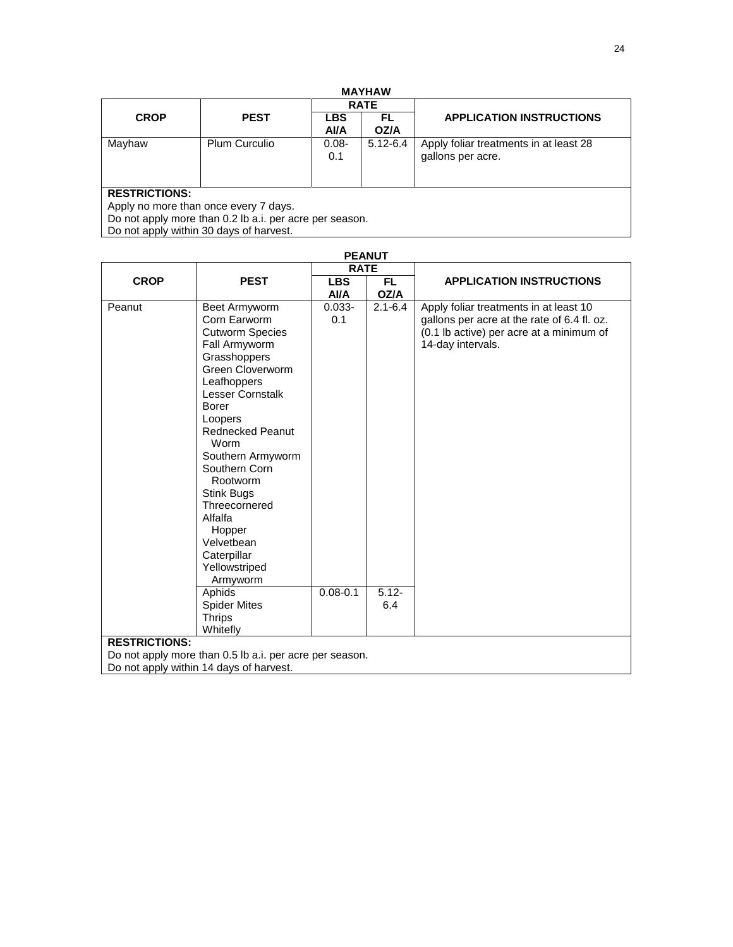| <b>MAYHAW</b> |  |  |  |  |
|---------------|--|--|--|--|
|               |  |  |  |  |

|                                                               |                                                         |                 | <b>RATE</b>  |                                                             |  |  |
|---------------------------------------------------------------|---------------------------------------------------------|-----------------|--------------|-------------------------------------------------------------|--|--|
| <b>CROP</b>                                                   | <b>PEST</b>                                             | <b>LBS</b>      | FL           | <b>APPLICATION INSTRUCTIONS</b>                             |  |  |
|                                                               |                                                         | <b>AVA</b>      | OZ/A         |                                                             |  |  |
| Mayhaw                                                        | <b>Plum Curculio</b>                                    | $0.08 -$<br>0.1 | $5.12 - 6.4$ | Apply foliar treatments in at least 28<br>gallons per acre. |  |  |
| <b>RESTRICTIONS:</b><br>Apply no more than once every 7 days. |                                                         |                 |              |                                                             |  |  |
|                                                               | Do not apply more than 0.2 lb a.i. per acre per season. |                 |              |                                                             |  |  |

Do not apply within 30 days of harvest.

| <b>PEANUT</b>        |                                                                                                                                                                                                                                                                                                                                                                                                                |                                  |                                |                                                                                                                                                        |  |
|----------------------|----------------------------------------------------------------------------------------------------------------------------------------------------------------------------------------------------------------------------------------------------------------------------------------------------------------------------------------------------------------------------------------------------------------|----------------------------------|--------------------------------|--------------------------------------------------------------------------------------------------------------------------------------------------------|--|
|                      |                                                                                                                                                                                                                                                                                                                                                                                                                | <b>RATE</b>                      |                                |                                                                                                                                                        |  |
| <b>CROP</b>          | <b>PEST</b>                                                                                                                                                                                                                                                                                                                                                                                                    | <b>LBS</b>                       | FL.                            | <b>APPLICATION INSTRUCTIONS</b>                                                                                                                        |  |
|                      |                                                                                                                                                                                                                                                                                                                                                                                                                | AVA                              | OZ/A                           |                                                                                                                                                        |  |
| Peanut               | Beet Armyworm<br>Corn Earworm<br><b>Cutworm Species</b><br>Fall Armyworm<br>Grasshoppers<br>Green Cloverworm<br>Leafhoppers<br><b>Lesser Cornstalk</b><br>Borer<br>Loopers<br><b>Rednecked Peanut</b><br>Worm<br>Southern Armyworm<br>Southern Corn<br>Rootworm<br>Stink Bugs<br>Threecornered<br>Alfalfa<br>Hopper<br>Velvetbean<br>Caterpillar<br>Yellowstriped<br>Armyworm<br>Aphids<br><b>Spider Mites</b> | $0.033 -$<br>0.1<br>$0.08 - 0.1$ | $2.1 - 6.4$<br>$5.12 -$<br>6.4 | Apply foliar treatments in at least 10<br>gallons per acre at the rate of 6.4 fl. oz.<br>(0.1 lb active) per acre at a minimum of<br>14-day intervals. |  |
|                      | <b>Thrips</b><br>Whitefly                                                                                                                                                                                                                                                                                                                                                                                      |                                  |                                |                                                                                                                                                        |  |
| <b>RESTRICTIONS:</b> |                                                                                                                                                                                                                                                                                                                                                                                                                |                                  |                                |                                                                                                                                                        |  |
|                      | Do not apply more than 0.5 lb a.i. per acre per season.                                                                                                                                                                                                                                                                                                                                                        |                                  |                                |                                                                                                                                                        |  |
|                      | Do not apply within 14 days of harvest.                                                                                                                                                                                                                                                                                                                                                                        |                                  |                                |                                                                                                                                                        |  |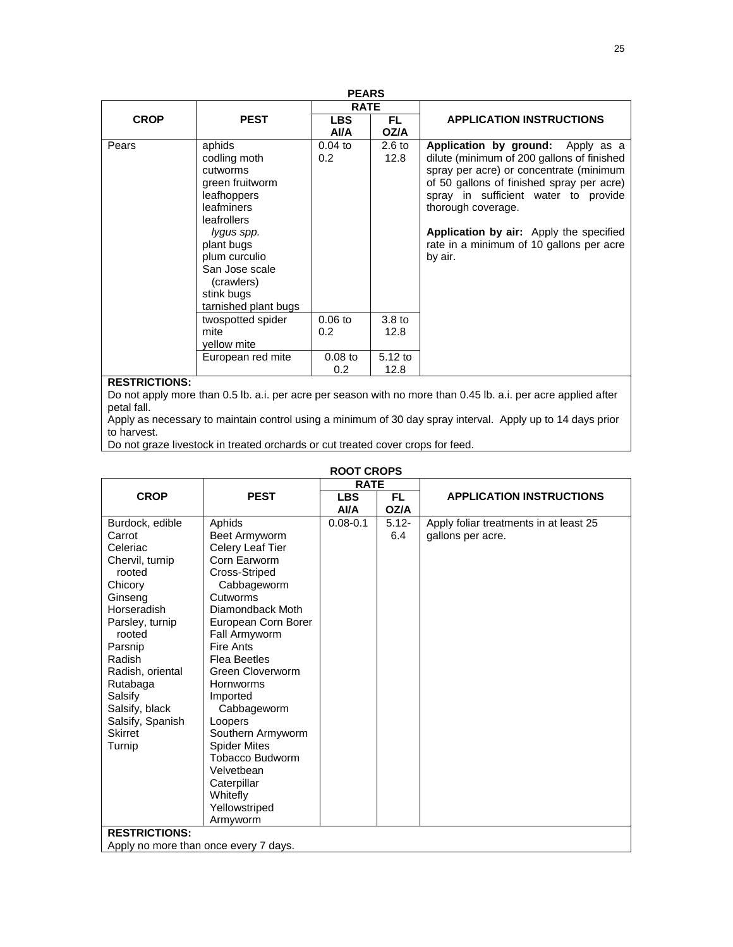| <b>PEARS</b>         |                                                                                                                                                                                                                      |                               |                           |                                                                                                                                                                                                                                                                                                                                         |  |  |
|----------------------|----------------------------------------------------------------------------------------------------------------------------------------------------------------------------------------------------------------------|-------------------------------|---------------------------|-----------------------------------------------------------------------------------------------------------------------------------------------------------------------------------------------------------------------------------------------------------------------------------------------------------------------------------------|--|--|
|                      |                                                                                                                                                                                                                      | <b>RATE</b>                   |                           |                                                                                                                                                                                                                                                                                                                                         |  |  |
| <b>CROP</b>          | <b>PEST</b>                                                                                                                                                                                                          | <b>LBS</b><br>AVA             | FL.<br>OZ/A               | <b>APPLICATION INSTRUCTIONS</b>                                                                                                                                                                                                                                                                                                         |  |  |
| Pears                | aphids<br>codling moth<br>cutworms<br>green fruitworm<br>leafhoppers<br>leafminers<br>leafrollers<br>lygus spp.<br>plant bugs<br>plum curculio<br>San Jose scale<br>(crawlers)<br>stink bugs<br>tarnished plant bugs | $0.04$ to<br>0.2              | 2.6 <sub>to</sub><br>12.8 | Application by ground: Apply as a<br>dilute (minimum of 200 gallons of finished<br>spray per acre) or concentrate (minimum<br>of 50 gallons of finished spray per acre)<br>spray in sufficient water to provide<br>thorough coverage.<br>Application by air: Apply the specified<br>rate in a minimum of 10 gallons per acre<br>by air. |  |  |
|                      | twospotted spider<br>mite<br>vellow mite                                                                                                                                                                             | $0.06$ to<br>0.2 <sub>0</sub> | 3.8 <sub>to</sub><br>12.8 |                                                                                                                                                                                                                                                                                                                                         |  |  |
|                      | European red mite                                                                                                                                                                                                    | $0.08$ to<br>0.2              | $5.12$ to<br>12.8         |                                                                                                                                                                                                                                                                                                                                         |  |  |
| <b>RESTRICTIONS:</b> |                                                                                                                                                                                                                      |                               |                           |                                                                                                                                                                                                                                                                                                                                         |  |  |

Do not apply more than 0.5 lb. a.i. per acre per season with no more than 0.45 lb. a.i. per acre applied after petal fall.

Apply as necessary to maintain control using a minimum of 30 day spray interval. Apply up to 14 days prior to harvest.

Do not graze livestock in treated orchards or cut treated cover crops for feed.

| ROOT CROPS                            |                     |              |          |                                        |  |
|---------------------------------------|---------------------|--------------|----------|----------------------------------------|--|
|                                       |                     | <b>RATE</b>  |          |                                        |  |
| <b>CROP</b>                           | <b>PEST</b>         | <b>LBS</b>   | FL.      | <b>APPLICATION INSTRUCTIONS</b>        |  |
|                                       |                     | AI/A         | OZ/A     |                                        |  |
| Burdock, edible                       | Aphids              | $0.08 - 0.1$ | $5.12 -$ | Apply foliar treatments in at least 25 |  |
| Carrot                                | Beet Armyworm       |              | 6.4      | gallons per acre.                      |  |
| Celeriac                              | Celery Leaf Tier    |              |          |                                        |  |
| Chervil, turnip                       | Corn Earworm        |              |          |                                        |  |
| rooted                                | Cross-Striped       |              |          |                                        |  |
| Chicory                               | Cabbageworm         |              |          |                                        |  |
| Ginseng                               | Cutworms            |              |          |                                        |  |
| Horseradish                           | Diamondback Moth    |              |          |                                        |  |
| Parsley, turnip                       | European Corn Borer |              |          |                                        |  |
| rooted                                | Fall Armyworm       |              |          |                                        |  |
| Parsnip                               | Fire Ants           |              |          |                                        |  |
| Radish                                | Flea Beetles        |              |          |                                        |  |
| Radish, oriental                      | Green Cloverworm    |              |          |                                        |  |
| Rutabaga                              | <b>Hornworms</b>    |              |          |                                        |  |
| Salsify                               | Imported            |              |          |                                        |  |
| Salsify, black                        | Cabbageworm         |              |          |                                        |  |
| Salsify, Spanish                      | Loopers             |              |          |                                        |  |
| <b>Skirret</b>                        | Southern Armyworm   |              |          |                                        |  |
| Turnip                                | <b>Spider Mites</b> |              |          |                                        |  |
|                                       | Tobacco Budworm     |              |          |                                        |  |
|                                       | Velvetbean          |              |          |                                        |  |
|                                       | Caterpillar         |              |          |                                        |  |
|                                       | Whitefly            |              |          |                                        |  |
|                                       | Yellowstriped       |              |          |                                        |  |
|                                       | Armyworm            |              |          |                                        |  |
| <b>RESTRICTIONS:</b>                  |                     |              |          |                                        |  |
|                                       |                     |              |          |                                        |  |
| Apply no more than once every 7 days. |                     |              |          |                                        |  |

### **ROOT CROPS**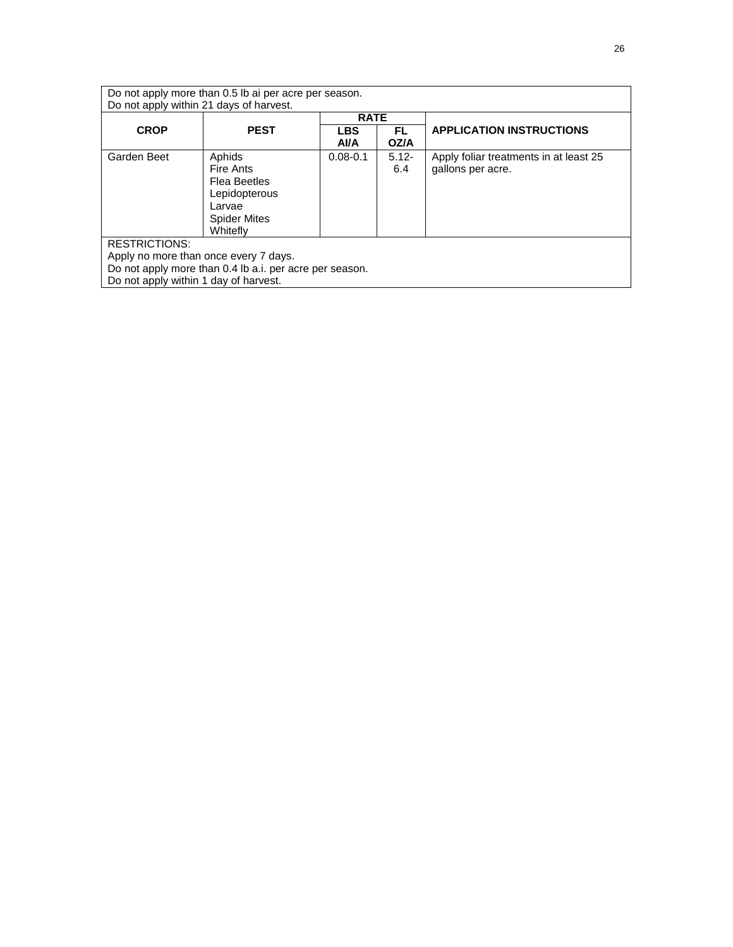| Do not apply more than 0.5 lb ai per acre per season.<br>Do not apply within 21 days of harvest.                                                                  |                                                                                                   |                    |                 |                                                             |  |
|-------------------------------------------------------------------------------------------------------------------------------------------------------------------|---------------------------------------------------------------------------------------------------|--------------------|-----------------|-------------------------------------------------------------|--|
|                                                                                                                                                                   |                                                                                                   | <b>RATE</b>        |                 |                                                             |  |
| <b>CROP</b>                                                                                                                                                       | <b>PEST</b>                                                                                       | <b>LBS</b><br>Al/A | FL.<br>OZ/A     | <b>APPLICATION INSTRUCTIONS</b>                             |  |
| Garden Beet                                                                                                                                                       | Aphids<br>Fire Ants<br>Flea Beetles<br>Lepidopterous<br>Larvae<br><b>Spider Mites</b><br>Whitefly | $0.08 - 0.1$       | $5.12 -$<br>6.4 | Apply foliar treatments in at least 25<br>gallons per acre. |  |
| <b>RESTRICTIONS:</b><br>Apply no more than once every 7 days.<br>Do not apply more than 0.4 lb a.i. per acre per season.<br>Do not apply within 1 day of harvest. |                                                                                                   |                    |                 |                                                             |  |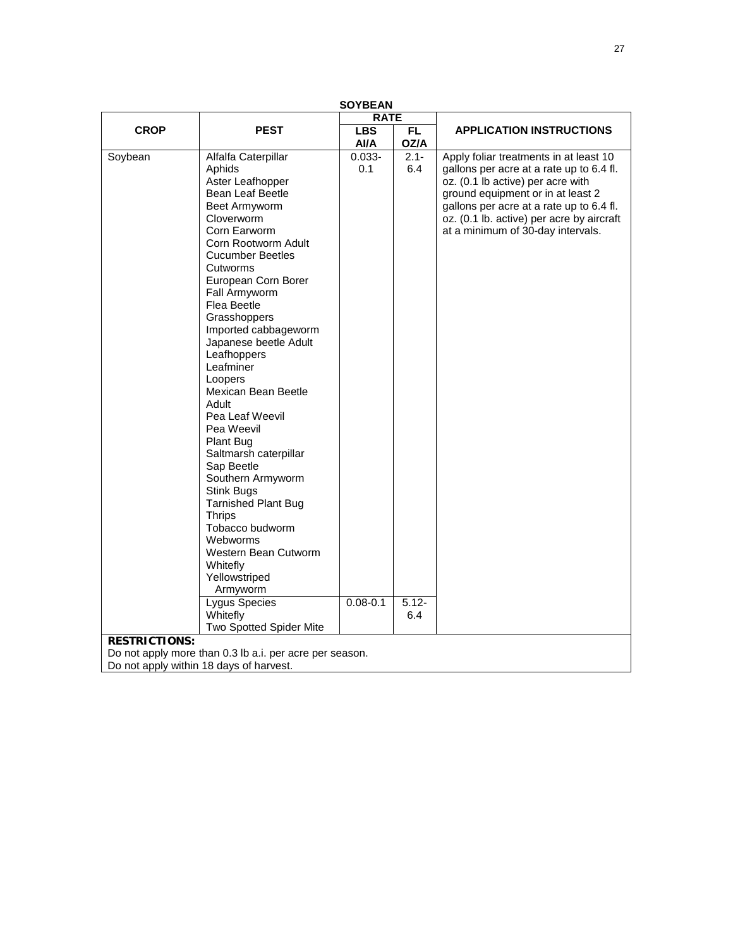| <b>SOYBEAN</b>       |                                                                                                                                                                                                                                                                                                                                                                                                                                                                                                                                                                                                                                                                                                                  |                                  |                                   |                                                                                                                                                                                                                                                                                            |  |
|----------------------|------------------------------------------------------------------------------------------------------------------------------------------------------------------------------------------------------------------------------------------------------------------------------------------------------------------------------------------------------------------------------------------------------------------------------------------------------------------------------------------------------------------------------------------------------------------------------------------------------------------------------------------------------------------------------------------------------------------|----------------------------------|-----------------------------------|--------------------------------------------------------------------------------------------------------------------------------------------------------------------------------------------------------------------------------------------------------------------------------------------|--|
| <b>RATE</b>          |                                                                                                                                                                                                                                                                                                                                                                                                                                                                                                                                                                                                                                                                                                                  |                                  |                                   |                                                                                                                                                                                                                                                                                            |  |
| <b>CROP</b>          | <b>PEST</b>                                                                                                                                                                                                                                                                                                                                                                                                                                                                                                                                                                                                                                                                                                      | <b>LBS</b>                       | FL.                               | <b>APPLICATION INSTRUCTIONS</b>                                                                                                                                                                                                                                                            |  |
|                      |                                                                                                                                                                                                                                                                                                                                                                                                                                                                                                                                                                                                                                                                                                                  | Al/A                             | OZ/A                              |                                                                                                                                                                                                                                                                                            |  |
| Soybean              | Alfalfa Caterpillar<br>Aphids<br>Aster Leafhopper<br>Bean Leaf Beetle<br>Beet Armyworm<br>Cloverworm<br>Corn Earworm<br>Corn Rootworm Adult<br><b>Cucumber Beetles</b><br>Cutworms<br>European Corn Borer<br>Fall Armyworm<br>Flea Beetle<br>Grasshoppers<br>Imported cabbageworm<br>Japanese beetle Adult<br>Leafhoppers<br>Leafminer<br>Loopers<br>Mexican Bean Beetle<br>Adult<br>Pea Leaf Weevil<br>Pea Weevil<br>Plant Bug<br>Saltmarsh caterpillar<br>Sap Beetle<br>Southern Armyworm<br>Stink Bugs<br><b>Tarnished Plant Bug</b><br><b>Thrips</b><br>Tobacco budworm<br>Webworms<br>Western Bean Cutworm<br>Whitefly<br>Yellowstriped<br>Armyworm<br>Lygus Species<br>Whitefly<br>Two Spotted Spider Mite | $0.033 -$<br>0.1<br>$0.08 - 0.1$ | $2.1 -$<br>6.4<br>$5.12 -$<br>6.4 | Apply foliar treatments in at least 10<br>gallons per acre at a rate up to 6.4 fl.<br>oz. (0.1 lb active) per acre with<br>ground equipment or in at least 2<br>gallons per acre at a rate up to 6.4 fl.<br>oz. (0.1 lb. active) per acre by aircraft<br>at a minimum of 30-day intervals. |  |
| <b>RESTRICTIONS:</b> |                                                                                                                                                                                                                                                                                                                                                                                                                                                                                                                                                                                                                                                                                                                  |                                  |                                   |                                                                                                                                                                                                                                                                                            |  |
|                      | Do not apply more than 0.3 lb a.i. per acre per season.                                                                                                                                                                                                                                                                                                                                                                                                                                                                                                                                                                                                                                                          |                                  |                                   |                                                                                                                                                                                                                                                                                            |  |
|                      | Do not apply within 18 days of harvest.                                                                                                                                                                                                                                                                                                                                                                                                                                                                                                                                                                                                                                                                          |                                  |                                   |                                                                                                                                                                                                                                                                                            |  |
|                      |                                                                                                                                                                                                                                                                                                                                                                                                                                                                                                                                                                                                                                                                                                                  |                                  |                                   |                                                                                                                                                                                                                                                                                            |  |

27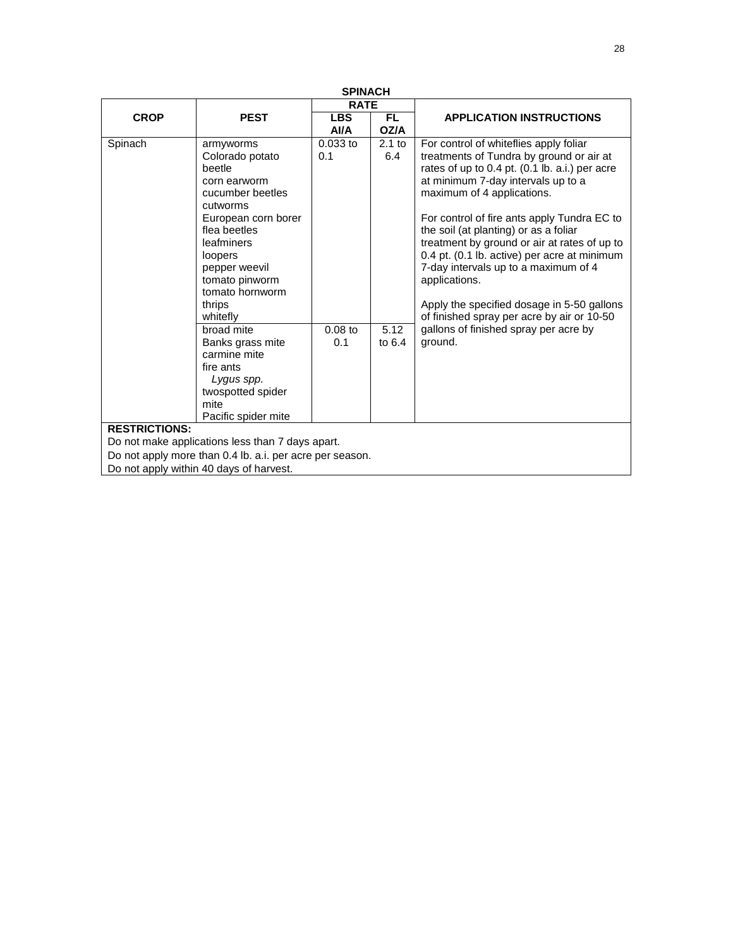| <b>SPINACH</b>       |                                                                                                                                                                                                                                    |                    |                   |                                                                                                                                                                                                                                                                                                                                                                                                                                                                                                                                                       |  |
|----------------------|------------------------------------------------------------------------------------------------------------------------------------------------------------------------------------------------------------------------------------|--------------------|-------------------|-------------------------------------------------------------------------------------------------------------------------------------------------------------------------------------------------------------------------------------------------------------------------------------------------------------------------------------------------------------------------------------------------------------------------------------------------------------------------------------------------------------------------------------------------------|--|
|                      |                                                                                                                                                                                                                                    | <b>RATE</b>        |                   |                                                                                                                                                                                                                                                                                                                                                                                                                                                                                                                                                       |  |
| <b>CROP</b>          | <b>PEST</b>                                                                                                                                                                                                                        | <b>LBS</b><br>Al/A | <b>FL</b><br>OZ/A | <b>APPLICATION INSTRUCTIONS</b>                                                                                                                                                                                                                                                                                                                                                                                                                                                                                                                       |  |
| Spinach              | armyworms<br>Colorado potato<br>beetle<br>corn earworm<br>cucumber beetles<br>cutworms<br>European corn borer<br>flea beetles<br>leafminers<br>loopers<br>pepper weevil<br>tomato pinworm<br>tomato hornworm<br>thrips<br>whitefly | $0.033$ to<br>0.1  | $2.1$ to<br>6.4   | For control of whiteflies apply foliar<br>treatments of Tundra by ground or air at<br>rates of up to 0.4 pt. (0.1 lb. a.i.) per acre<br>at minimum 7-day intervals up to a<br>maximum of 4 applications.<br>For control of fire ants apply Tundra EC to<br>the soil (at planting) or as a foliar<br>treatment by ground or air at rates of up to<br>0.4 pt. (0.1 lb. active) per acre at minimum<br>7-day intervals up to a maximum of 4<br>applications.<br>Apply the specified dosage in 5-50 gallons<br>of finished spray per acre by air or 10-50 |  |
|                      | broad mite<br>Banks grass mite<br>carmine mite<br>fire ants<br>Lygus spp.<br>twospotted spider<br>mite<br>Pacific spider mite                                                                                                      | $0.08$ to<br>0.1   | 5.12<br>to $6.4$  | gallons of finished spray per acre by<br>ground.                                                                                                                                                                                                                                                                                                                                                                                                                                                                                                      |  |
| <b>RESTRICTIONS:</b> |                                                                                                                                                                                                                                    |                    |                   |                                                                                                                                                                                                                                                                                                                                                                                                                                                                                                                                                       |  |
|                      | Do not make applications less than 7 days apart.                                                                                                                                                                                   |                    |                   |                                                                                                                                                                                                                                                                                                                                                                                                                                                                                                                                                       |  |
|                      | Do not apply more than 0.4 lb. a.i. per acre per season.<br>Do not apply within 40 days of harvest.                                                                                                                                |                    |                   |                                                                                                                                                                                                                                                                                                                                                                                                                                                                                                                                                       |  |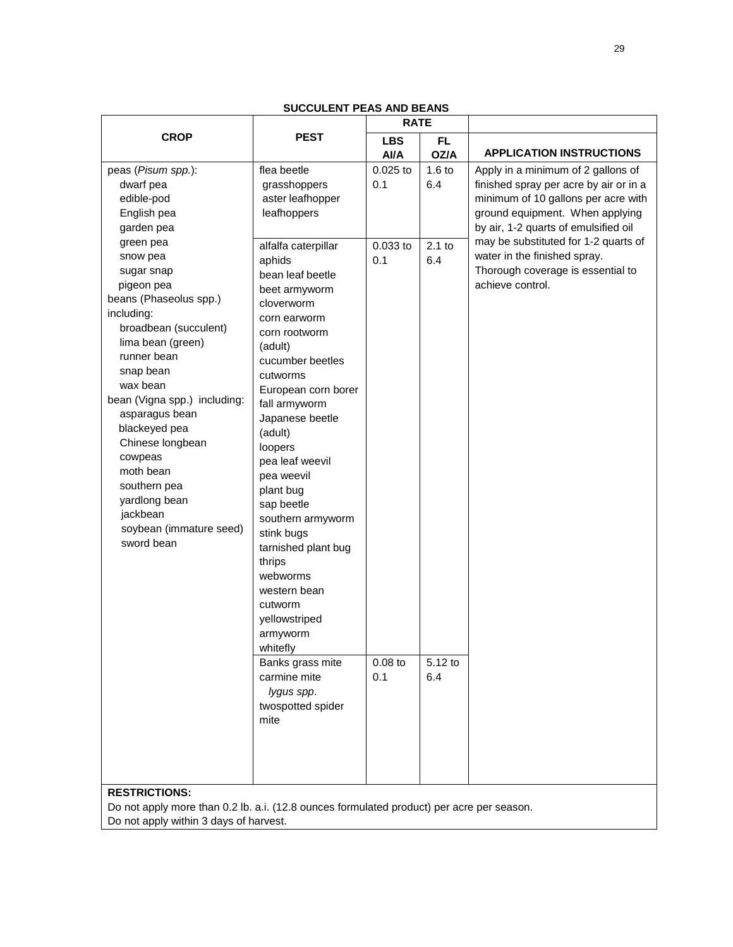|                              |                     | <b>RATE</b> |           |                                        |
|------------------------------|---------------------|-------------|-----------|----------------------------------------|
| <b>CROP</b>                  | <b>PEST</b>         | <b>LBS</b>  | <b>FL</b> |                                        |
|                              |                     | Al/A        | OZ/A      | <b>APPLICATION INSTRUCTIONS</b>        |
| peas (Pisum spp.):           | flea beetle         | 0.025 to    | $1.6$ to  | Apply in a minimum of 2 gallons of     |
| dwarf pea                    | grasshoppers        | 0.1         | 6.4       | finished spray per acre by air or in a |
| edible-pod                   | aster leafhopper    |             |           | minimum of 10 gallons per acre with    |
| English pea                  | leafhoppers         |             |           | ground equipment. When applying        |
| garden pea                   |                     |             |           | by air, 1-2 quarts of emulsified oil   |
| green pea                    | alfalfa caterpillar | $0.033$ to  | $2.1$ to  | may be substituted for 1-2 quarts of   |
| snow pea                     | aphids              | 0.1         | 6.4       | water in the finished spray.           |
| sugar snap                   | bean leaf beetle    |             |           | Thorough coverage is essential to      |
| pigeon pea                   | beet armyworm       |             |           | achieve control.                       |
| beans (Phaseolus spp.)       | cloverworm          |             |           |                                        |
| including:                   | corn earworm        |             |           |                                        |
| broadbean (succulent)        | corn rootworm       |             |           |                                        |
| lima bean (green)            | (adult)             |             |           |                                        |
| runner bean                  | cucumber beetles    |             |           |                                        |
| snap bean                    | cutworms            |             |           |                                        |
| wax bean                     | European corn borer |             |           |                                        |
| bean (Vigna spp.) including: | fall armyworm       |             |           |                                        |
| asparagus bean               | Japanese beetle     |             |           |                                        |
| blackeyed pea                | (adult)             |             |           |                                        |
| Chinese longbean             | loopers             |             |           |                                        |
| cowpeas                      | pea leaf weevil     |             |           |                                        |
| moth bean                    | pea weevil          |             |           |                                        |
| southern pea                 | plant bug           |             |           |                                        |
| yardlong bean                | sap beetle          |             |           |                                        |
| jackbean                     | southern armyworm   |             |           |                                        |
| soybean (immature seed)      | stink bugs          |             |           |                                        |
| sword bean                   | tarnished plant bug |             |           |                                        |
|                              | thrips              |             |           |                                        |
|                              | webworms            |             |           |                                        |
|                              | western bean        |             |           |                                        |
|                              | cutworm             |             |           |                                        |
|                              | yellowstriped       |             |           |                                        |
|                              | armyworm            |             |           |                                        |
|                              | whitefly            |             |           |                                        |
|                              | Banks grass mite    | $0.08$ to   | 5.12 to   |                                        |
|                              | carmine mite        | 0.1         | 6.4       |                                        |
|                              | lygus spp.          |             |           |                                        |
|                              | twospotted spider   |             |           |                                        |
|                              | mite                |             |           |                                        |
|                              |                     |             |           |                                        |
|                              |                     |             |           |                                        |
|                              |                     |             |           |                                        |
|                              |                     |             |           |                                        |
| <b>RESTRICTIONS:</b>         |                     |             |           |                                        |

**SUCCULENT PEAS AND BEANS**

Do not apply more than 0.2 lb. a.i. (12.8 ounces formulated product) per acre per season. Do not apply within 3 days of harvest.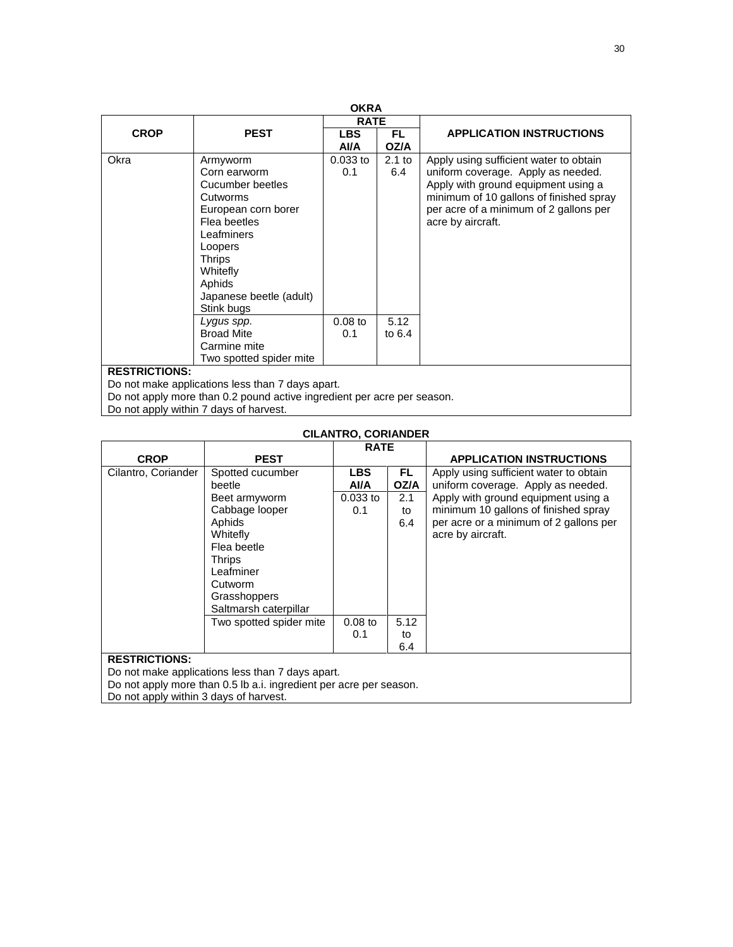| <b>OKRA</b>          |                                                                                                                                                                                                          |                   |                 |                                                                                                                                                                                                                               |  |
|----------------------|----------------------------------------------------------------------------------------------------------------------------------------------------------------------------------------------------------|-------------------|-----------------|-------------------------------------------------------------------------------------------------------------------------------------------------------------------------------------------------------------------------------|--|
|                      | <b>RATE</b>                                                                                                                                                                                              |                   |                 |                                                                                                                                                                                                                               |  |
| <b>CROP</b>          | <b>PEST</b>                                                                                                                                                                                              | <b>LBS</b>        | FL.             | <b>APPLICATION INSTRUCTIONS</b>                                                                                                                                                                                               |  |
|                      |                                                                                                                                                                                                          | AVA               | <b>OZ/A</b>     |                                                                                                                                                                                                                               |  |
| Okra                 | Armyworm<br>Corn earworm<br>Cucumber beetles<br>Cutworms<br>European corn borer<br>Flea beetles<br>Leafminers<br>Loopers<br><b>Thrips</b><br>Whitefly<br>Aphids<br>Japanese beetle (adult)<br>Stink bugs | $0.033$ to<br>0.1 | $2.1$ to<br>6.4 | Apply using sufficient water to obtain<br>uniform coverage. Apply as needed.<br>Apply with ground equipment using a<br>minimum of 10 gallons of finished spray<br>per acre of a minimum of 2 gallons per<br>acre by aircraft. |  |
|                      | Lygus spp.<br><b>Broad Mite</b>                                                                                                                                                                          | $0.08$ to         | 5.12            |                                                                                                                                                                                                                               |  |
|                      | Carmine mite<br>Two spotted spider mite                                                                                                                                                                  | 0.1               | to $6.4$        |                                                                                                                                                                                                                               |  |
| <b>RESTRICTIONS:</b> |                                                                                                                                                                                                          |                   |                 |                                                                                                                                                                                                                               |  |
|                      | Do not make applications less than 7 days apart.                                                                                                                                                         |                   |                 |                                                                                                                                                                                                                               |  |

Do not apply more than 0.2 pound active ingredient per acre per season.

Do not apply within 7 days of harvest.

| <b>CILANTRO, CORIANDER</b> |                                                                    |             |      |                                        |  |  |  |
|----------------------------|--------------------------------------------------------------------|-------------|------|----------------------------------------|--|--|--|
|                            |                                                                    | <b>RATE</b> |      |                                        |  |  |  |
| <b>CROP</b>                | <b>PEST</b>                                                        |             |      | <b>APPLICATION INSTRUCTIONS</b>        |  |  |  |
| Cilantro, Coriander        | Spotted cucumber                                                   | <b>LBS</b>  | FL.  | Apply using sufficient water to obtain |  |  |  |
|                            | beetle                                                             | Al/A        | OZ/A | uniform coverage. Apply as needed.     |  |  |  |
|                            | Beet armyworm                                                      | $0.033$ to  | 2.1  | Apply with ground equipment using a    |  |  |  |
|                            | Cabbage looper                                                     | 0.1         | to   | minimum 10 gallons of finished spray   |  |  |  |
|                            | Aphids                                                             |             | 6.4  | per acre or a minimum of 2 gallons per |  |  |  |
|                            | Whitefly                                                           |             |      | acre by aircraft.                      |  |  |  |
|                            | Flea beetle                                                        |             |      |                                        |  |  |  |
|                            | <b>Thrips</b>                                                      |             |      |                                        |  |  |  |
|                            | Leafminer                                                          |             |      |                                        |  |  |  |
|                            | Cutworm                                                            |             |      |                                        |  |  |  |
|                            | Grasshoppers                                                       |             |      |                                        |  |  |  |
|                            | Saltmarsh caterpillar                                              |             |      |                                        |  |  |  |
|                            | Two spotted spider mite                                            | $0.08$ to   | 5.12 |                                        |  |  |  |
|                            |                                                                    | 0.1         | to   |                                        |  |  |  |
| 6.4                        |                                                                    |             |      |                                        |  |  |  |
| <b>RESTRICTIONS:</b>       |                                                                    |             |      |                                        |  |  |  |
|                            | Do not make applications less than 7 days apart.                   |             |      |                                        |  |  |  |
|                            | Do not apply more than 0.5 lb a.i. ingredient per acre per season. |             |      |                                        |  |  |  |

Do not apply within 3 days of harvest.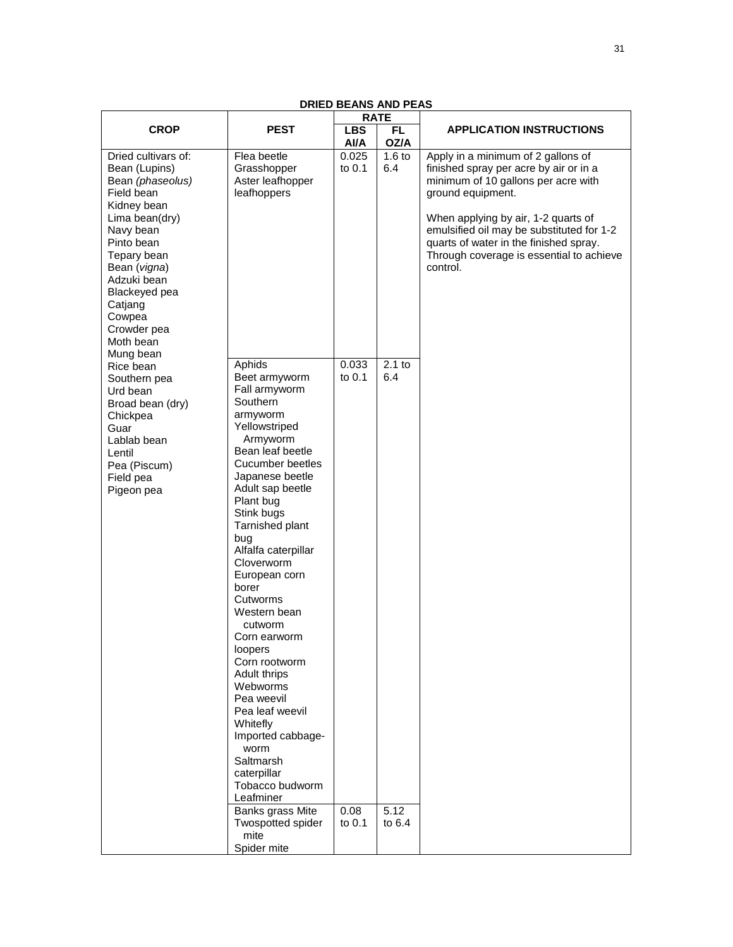|                                                                                                                                                                                                                                                                 | <b>RATE</b>                                                                                                                                                                                                                                                                                                                                                                                                                                                                                                                                                                                                           |                                   |                                     |                                                                                                                                                                                                                                                                                                                                |
|-----------------------------------------------------------------------------------------------------------------------------------------------------------------------------------------------------------------------------------------------------------------|-----------------------------------------------------------------------------------------------------------------------------------------------------------------------------------------------------------------------------------------------------------------------------------------------------------------------------------------------------------------------------------------------------------------------------------------------------------------------------------------------------------------------------------------------------------------------------------------------------------------------|-----------------------------------|-------------------------------------|--------------------------------------------------------------------------------------------------------------------------------------------------------------------------------------------------------------------------------------------------------------------------------------------------------------------------------|
| <b>CROP</b>                                                                                                                                                                                                                                                     | <b>PEST</b>                                                                                                                                                                                                                                                                                                                                                                                                                                                                                                                                                                                                           | <b>LBS</b><br>Al/A                | FL.<br>OZ/A                         | <b>APPLICATION INSTRUCTIONS</b>                                                                                                                                                                                                                                                                                                |
| Dried cultivars of:<br>Bean (Lupins)<br>Bean (phaseolus)<br>Field bean<br>Kidney bean<br>Lima bean(dry)<br>Navy bean<br>Pinto bean<br>Tepary bean<br>Bean (vigna)<br>Adzuki bean<br>Blackeyed pea<br>Catjang<br>Cowpea<br>Crowder pea<br>Moth bean<br>Mung bean | Flea beetle<br>Grasshopper<br>Aster leafhopper<br>leafhoppers                                                                                                                                                                                                                                                                                                                                                                                                                                                                                                                                                         | 0.025<br>to 0.1                   | 1.6 to<br>6.4                       | Apply in a minimum of 2 gallons of<br>finished spray per acre by air or in a<br>minimum of 10 gallons per acre with<br>ground equipment.<br>When applying by air, 1-2 quarts of<br>emulsified oil may be substituted for 1-2<br>quarts of water in the finished spray.<br>Through coverage is essential to achieve<br>control. |
| Rice bean<br>Southern pea<br>Urd bean<br>Broad bean (dry)<br>Chickpea<br>Guar<br>Lablab bean<br>Lentil<br>Pea (Piscum)<br>Field pea<br>Pigeon pea                                                                                                               | Aphids<br>Beet armyworm<br>Fall armyworm<br>Southern<br>armyworm<br>Yellowstriped<br>Armyworm<br>Bean leaf beetle<br>Cucumber beetles<br>Japanese beetle<br>Adult sap beetle<br>Plant bug<br>Stink bugs<br>Tarnished plant<br>bug<br>Alfalfa caterpillar<br>Cloverworm<br>European corn<br>borer<br>Cutworms<br>Western bean<br>cutworm<br>Corn earworm<br>loopers<br>Corn rootworm<br>Adult thrips<br>Webworms<br>Pea weevil<br>Pea leaf weevil<br>Whitefly<br>Imported cabbage-<br>worm<br>Saltmarsh<br>caterpillar<br>Tobacco budworm<br>Leafminer<br>Banks grass Mite<br>Twospotted spider<br>mite<br>Spider mite | 0.033<br>to 0.1<br>0.08<br>to 0.1 | $2.1$ to<br>6.4<br>5.12<br>to $6.4$ |                                                                                                                                                                                                                                                                                                                                |

### **DRIED BEANS AND PEAS**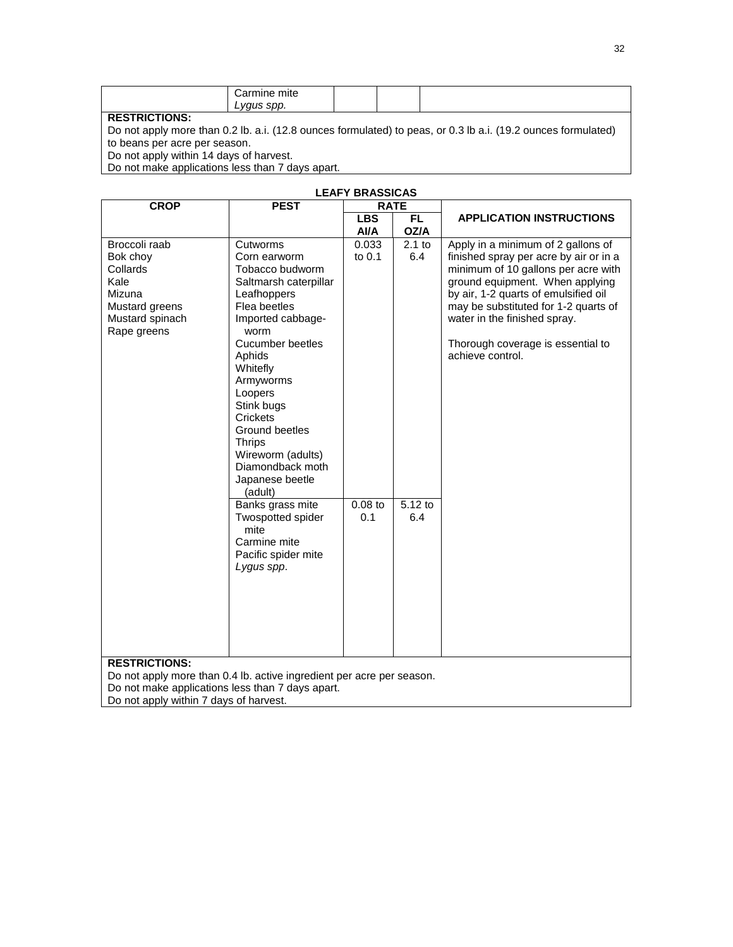| . | чњ<br>mn |  |  |
|---|----------|--|--|
|   |          |  |  |

Do not apply more than 0.2 lb. a.i. (12.8 ounces formulated) to peas, or 0.3 lb a.i. (19.2 ounces formulated) to beans per acre per season.

Do not apply within 14 days of harvest.

Do not make applications less than 7 days apart.

|                                                                                                                                                                                             |                                                                                                                                                                                                                                                                                                                                        | <b>LEAFY BRASSICAS</b> |                              |                                                                                                                                                                                                                                                                                                                                 |
|---------------------------------------------------------------------------------------------------------------------------------------------------------------------------------------------|----------------------------------------------------------------------------------------------------------------------------------------------------------------------------------------------------------------------------------------------------------------------------------------------------------------------------------------|------------------------|------------------------------|---------------------------------------------------------------------------------------------------------------------------------------------------------------------------------------------------------------------------------------------------------------------------------------------------------------------------------|
| <b>CROP</b>                                                                                                                                                                                 | <b>PEST</b>                                                                                                                                                                                                                                                                                                                            | <b>RATE</b>            |                              |                                                                                                                                                                                                                                                                                                                                 |
|                                                                                                                                                                                             |                                                                                                                                                                                                                                                                                                                                        | <b>LBS</b><br>AVA      | FL.<br>OZ/A                  | <b>APPLICATION INSTRUCTIONS</b>                                                                                                                                                                                                                                                                                                 |
| Broccoli raab<br>Bok choy<br>Collards<br>Kale<br>Mizuna<br>Mustard greens<br>Mustard spinach<br>Rape greens                                                                                 | Cutworms<br>Corn earworm<br>Tobacco budworm<br>Saltmarsh caterpillar<br>Leafhoppers<br>Flea beetles<br>Imported cabbage-<br>worm<br>Cucumber beetles<br>Aphids<br>Whitefly<br>Armyworms<br>Loopers<br>Stink bugs<br>Crickets<br>Ground beetles<br><b>Thrips</b><br>Wireworm (adults)<br>Diamondback moth<br>Japanese beetle<br>(adult) | 0.033<br>to 0.1        | $2.1$ to<br>6.4<br>$5.12$ to | Apply in a minimum of 2 gallons of<br>finished spray per acre by air or in a<br>minimum of 10 gallons per acre with<br>ground equipment. When applying<br>by air, 1-2 quarts of emulsified oil<br>may be substituted for 1-2 quarts of<br>water in the finished spray.<br>Thorough coverage is essential to<br>achieve control. |
|                                                                                                                                                                                             | Banks grass mite<br>Twospotted spider<br>mite<br>Carmine mite<br>Pacific spider mite<br>Lygus spp.                                                                                                                                                                                                                                     | $0.08$ to<br>0.1       | 6.4                          |                                                                                                                                                                                                                                                                                                                                 |
| <b>RESTRICTIONS:</b><br>Do not apply more than 0.4 lb. active ingredient per acre per season.<br>Do not make applications less than 7 days apart.<br>Do not apply within 7 days of harvest. |                                                                                                                                                                                                                                                                                                                                        |                        |                              |                                                                                                                                                                                                                                                                                                                                 |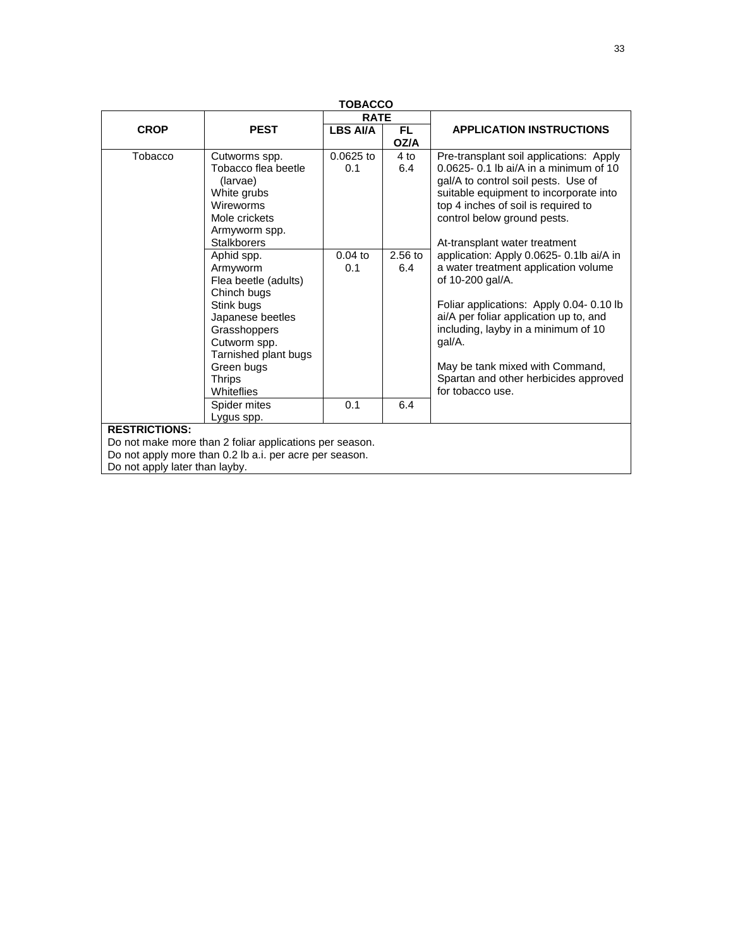| TOBACCO                                                    |                                                         |                 |           |                                                                           |  |
|------------------------------------------------------------|---------------------------------------------------------|-----------------|-----------|---------------------------------------------------------------------------|--|
|                                                            |                                                         | <b>RATE</b>     |           |                                                                           |  |
| <b>CROP</b>                                                | <b>PEST</b>                                             | <b>LBS AI/A</b> | <b>FL</b> | <b>APPLICATION INSTRUCTIONS</b>                                           |  |
|                                                            |                                                         |                 | OZ/A      |                                                                           |  |
| Tobacco                                                    | Cutworms spp.                                           | $0.0625$ to     | 4 to      | Pre-transplant soil applications: Apply                                   |  |
|                                                            | Tobacco flea beetle                                     | 0.1             | 6.4       | $0.0625 - 0.1$ lb ai/A in a minimum of 10                                 |  |
|                                                            | (larvae)                                                |                 |           | gal/A to control soil pests. Use of                                       |  |
|                                                            | White grubs                                             |                 |           | suitable equipment to incorporate into                                    |  |
|                                                            | Wireworms                                               |                 |           | top 4 inches of soil is required to                                       |  |
|                                                            | Mole crickets                                           |                 |           | control below ground pests.                                               |  |
|                                                            | Armyworm spp.<br><b>Stalkborers</b>                     |                 |           |                                                                           |  |
|                                                            | Aphid spp.                                              | $0.04$ to       | $2.56$ to | At-transplant water treatment<br>application: Apply 0.0625- 0.1lb ai/A in |  |
|                                                            | Armyworm                                                | 0.1             | 6.4       | a water treatment application volume                                      |  |
|                                                            | Flea beetle (adults)                                    |                 |           | of 10-200 gal/A.                                                          |  |
|                                                            | Chinch bugs                                             |                 |           |                                                                           |  |
| Foliar applications: Apply 0.04-0.10 lb<br>Stink bugs      |                                                         |                 |           |                                                                           |  |
| ai/A per foliar application up to, and<br>Japanese beetles |                                                         |                 |           |                                                                           |  |
| including, layby in a minimum of 10<br>Grasshoppers        |                                                         |                 |           |                                                                           |  |
| gal/A.<br>Cutworm spp.                                     |                                                         |                 |           |                                                                           |  |
|                                                            | Tarnished plant bugs                                    |                 |           |                                                                           |  |
|                                                            | Green bugs                                              |                 |           | May be tank mixed with Command,                                           |  |
|                                                            | <b>Thrips</b>                                           |                 |           | Spartan and other herbicides approved                                     |  |
|                                                            | Whiteflies                                              |                 |           | for tobacco use.                                                          |  |
|                                                            | Spider mites                                            | 0.1             | 6.4       |                                                                           |  |
| Lygus spp.                                                 |                                                         |                 |           |                                                                           |  |
| <b>RESTRICTIONS:</b>                                       |                                                         |                 |           |                                                                           |  |
|                                                            | Do not make more than 2 foliar applications per season. |                 |           |                                                                           |  |
|                                                            | Do not apply more than 0.2 lb a.i. per acre per season. |                 |           |                                                                           |  |
| Do not apply later than layby.                             |                                                         |                 |           |                                                                           |  |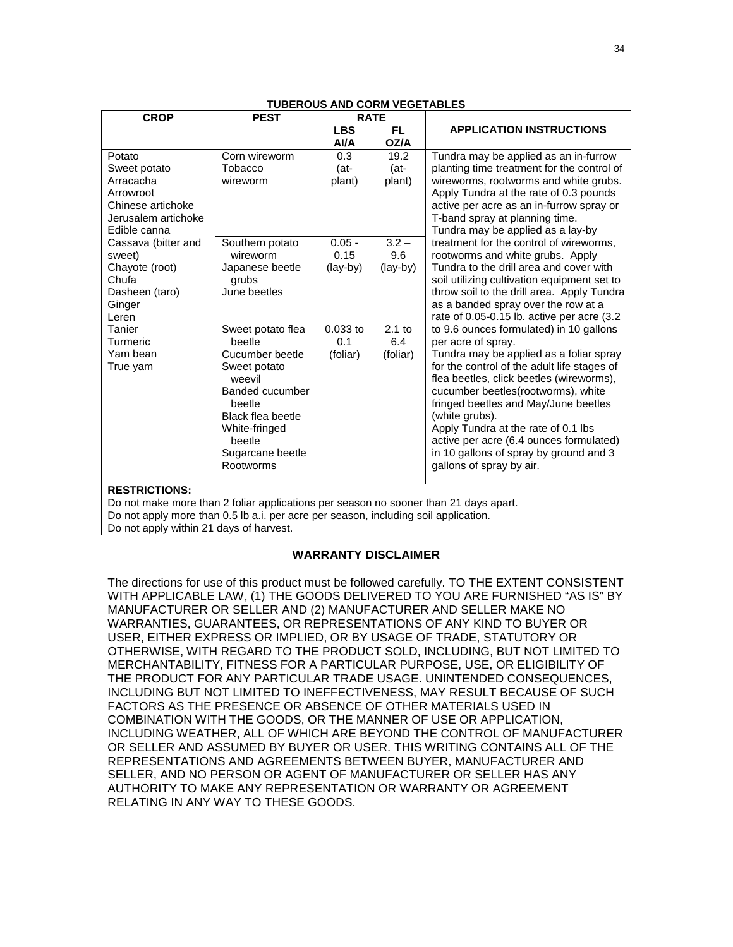| <b>CROP</b>                                                                          | <b>PEST</b>              |            | <b>RATE</b> |                                                                                         |  |
|--------------------------------------------------------------------------------------|--------------------------|------------|-------------|-----------------------------------------------------------------------------------------|--|
|                                                                                      |                          | <b>LBS</b> | FL.         | <b>APPLICATION INSTRUCTIONS</b>                                                         |  |
|                                                                                      |                          | AI/A       | OZ/A        |                                                                                         |  |
| Potato                                                                               | Corn wireworm            | 0.3        | 19.2        | Tundra may be applied as an in-furrow                                                   |  |
| Sweet potato                                                                         | Tobacco                  | (at-       | (at-        | planting time treatment for the control of                                              |  |
| Arracacha                                                                            | wireworm                 | plant)     | plant)      | wireworms, rootworms and white grubs.                                                   |  |
| Arrowroot                                                                            |                          |            |             | Apply Tundra at the rate of 0.3 pounds                                                  |  |
| Chinese artichoke                                                                    |                          |            |             | active per acre as an in-furrow spray or                                                |  |
| Jerusalem artichoke<br>Edible canna                                                  |                          |            |             | T-band spray at planning time.                                                          |  |
| Cassava (bitter and                                                                  | Southern potato          | $0.05 -$   | $3.2 -$     | Tundra may be applied as a lay-by<br>treatment for the control of wireworms,            |  |
| sweet)                                                                               | wireworm                 | 0.15       | 9.6         | rootworms and white grubs. Apply                                                        |  |
| Chayote (root)                                                                       | Japanese beetle          | (lay-by)   | (lay-by)    | Tundra to the drill area and cover with                                                 |  |
| Chufa                                                                                | grubs                    |            |             | soil utilizing cultivation equipment set to                                             |  |
| Dasheen (taro)                                                                       | June beetles             |            |             | throw soil to the drill area. Apply Tundra                                              |  |
| Ginger                                                                               |                          |            |             | as a banded spray over the row at a                                                     |  |
| Leren                                                                                |                          |            |             | rate of 0.05-0.15 lb. active per acre (3.2                                              |  |
| Tanier                                                                               | Sweet potato flea        | $0.033$ to | $2.1$ to    | to 9.6 ounces formulated) in 10 gallons                                                 |  |
| Turmeric                                                                             | beetle                   | 0.1        | 6.4         | per acre of spray.                                                                      |  |
| Yam bean                                                                             | Cucumber beetle          | (foliar)   | (foliar)    | Tundra may be applied as a foliar spray                                                 |  |
| True vam                                                                             | Sweet potato<br>weevil   |            |             | for the control of the adult life stages of<br>flea beetles, click beetles (wireworms), |  |
|                                                                                      | Banded cucumber          |            |             | cucumber beetles(rootworms), white                                                      |  |
|                                                                                      | beetle                   |            |             | fringed beetles and May/June beetles                                                    |  |
|                                                                                      | <b>Black flea beetle</b> |            |             | (white grubs).                                                                          |  |
|                                                                                      | White-fringed            |            |             | Apply Tundra at the rate of 0.1 lbs                                                     |  |
|                                                                                      | beetle                   |            |             | active per acre (6.4 ounces formulated)                                                 |  |
|                                                                                      | Sugarcane beetle         |            |             | in 10 gallons of spray by ground and 3                                                  |  |
|                                                                                      | Rootworms                |            |             | gallons of spray by air.                                                                |  |
| <b>RESTRICTIONS:</b>                                                                 |                          |            |             |                                                                                         |  |
| Do not make more than 2 foliar applications per season no sooner than 21 days apart. |                          |            |             |                                                                                         |  |
| Do not apply more than 0.5 lb a.i. per acre per season, including soil application.  |                          |            |             |                                                                                         |  |
| Do not apply within 21 days of harvest.                                              |                          |            |             |                                                                                         |  |

#### **TUBEROUS AND CORM VEGETABLES**

#### **WARRANTY DISCLAIMER**

The directions for use of this product must be followed carefully. TO THE EXTENT CONSISTENT WITH APPLICABLE LAW, (1) THE GOODS DELIVERED TO YOU ARE FURNISHED "AS IS" BY MANUFACTURER OR SELLER AND (2) MANUFACTURER AND SELLER MAKE NO WARRANTIES, GUARANTEES, OR REPRESENTATIONS OF ANY KIND TO BUYER OR USER, EITHER EXPRESS OR IMPLIED, OR BY USAGE OF TRADE, STATUTORY OR OTHERWISE, WITH REGARD TO THE PRODUCT SOLD, INCLUDING, BUT NOT LIMITED TO MERCHANTABILITY, FITNESS FOR A PARTICULAR PURPOSE, USE, OR ELIGIBILITY OF THE PRODUCT FOR ANY PARTICULAR TRADE USAGE. UNINTENDED CONSEQUENCES, INCLUDING BUT NOT LIMITED TO INEFFECTIVENESS, MAY RESULT BECAUSE OF SUCH FACTORS AS THE PRESENCE OR ABSENCE OF OTHER MATERIALS USED IN COMBINATION WITH THE GOODS, OR THE MANNER OF USE OR APPLICATION, INCLUDING WEATHER, ALL OF WHICH ARE BEYOND THE CONTROL OF MANUFACTURER OR SELLER AND ASSUMED BY BUYER OR USER. THIS WRITING CONTAINS ALL OF THE REPRESENTATIONS AND AGREEMENTS BETWEEN BUYER, MANUFACTURER AND SELLER, AND NO PERSON OR AGENT OF MANUFACTURER OR SELLER HAS ANY AUTHORITY TO MAKE ANY REPRESENTATION OR WARRANTY OR AGREEMENT RELATING IN ANY WAY TO THESE GOODS.